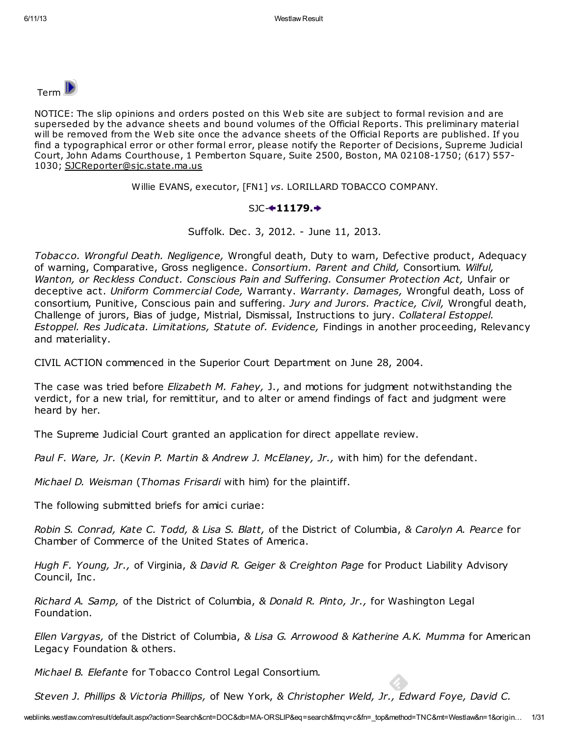

NOTICE: The slip opinions and orders posted on this Web site are subject to formal revision and are superseded by the advance sheets and bound volumes of the Official Reports. This preliminary material will be removed from the Web site once the advance sheets of the Official Reports are published. If you find a typographical error or other formal error, please notify the Reporter of Decisions, Supreme Judicial Court, John Adams Courthouse, 1 Pemberton Square, Suite 2500, Boston, MA 02108-1750; (617) 557- 1030; SJCReporter@sjc.state.ma.us

Willie EVANS, executor, [FN1] vs. LORILLARD TOBACCO COMPANY.

## $S$ JC  $+11179.+$  $+11179.+$  $+11179.+$

Suffolk. Dec. 3, 2012. - June 11, 2013.

Tobacco. Wrongful Death. Negligence, Wrongful death, Duty to warn, Defective product, Adequacy of warning, Comparative, Gross negligence. Consortium. Parent and Child, Consortium. Wilful, Wanton, or Reckless Conduct. Conscious Pain and Suffering. Consumer Protection Act, Unfair or deceptive act. Uniform Commercial Code, Warranty. Warranty. Damages, Wrongful death, Loss of consortium, Punitive, Conscious pain and suffering. Jury and Jurors. Practice, Civil, Wrongful death, Challenge of jurors, Bias of judge, Mistrial, Dismissal, Instructions to jury. Collateral Estoppel. Estoppel. Res Judicata. Limitations, Statute of. Evidence, Findings in another proceeding, Relevancy and materiality.

CIVIL ACTION commenced in the Superior Court Department on June 28, 2004.

The case was tried before *Elizabeth M. Fahey, J.*, and motions for judgment notwithstanding the verdict, for a new trial, for remittitur, and to alter or amend findings of fact and judgment were heard by her.

The Supreme Judicial Court granted an application for direct appellate review.

Paul F. Ware, Jr. (Kevin P. Martin & Andrew J. McElaney, Jr., with him) for the defendant.

Michael D. Weisman (Thomas Frisardi with him) for the plaintiff.

The following submitted briefs for amici curiae:

Robin S. Conrad, Kate C. Todd, & Lisa S. Blatt, of the District of Columbia, & Carolyn A. Pearce for Chamber of Commerce of the United States of America.

Hugh F. Young, Jr., of Virginia, & David R. Geiger & Creighton Page for Product Liability Advisory Council, Inc.

Richard A. Samp, of the District of Columbia, & Donald R. Pinto, Jr., for Washington Legal Foundation.

Ellen Vargyas, of the District of Columbia, & Lisa G. Arrowood & Katherine A.K. Mumma for American Legacy Foundation & others.

Michael B. Elefante for Tobacco Control Legal Consortium.

Steven J. Phillips & Victoria Phillips, of New York, & Christopher Weld, Jr., Edward Foye, David C.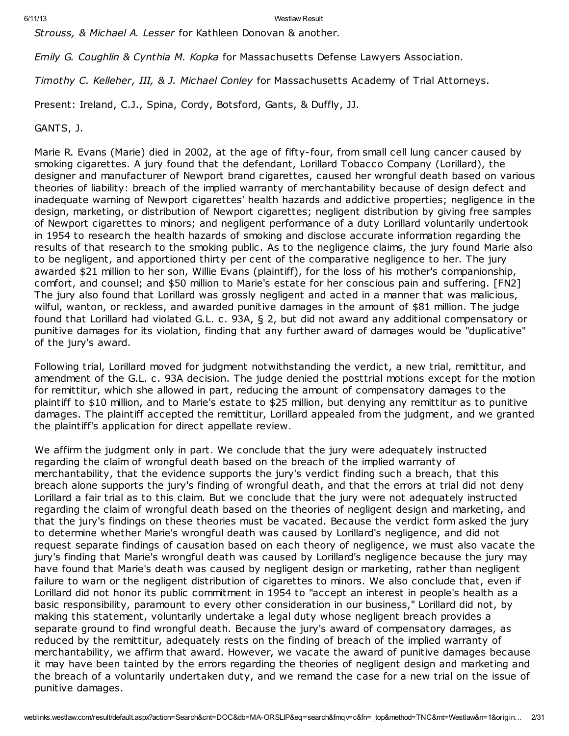Strouss, & Michael A. Lesser for Kathleen Donovan & another.

Emily G. Coughlin & Cynthia M. Kopka for Massachusetts Defense Lawyers Association.

Timothy C. Kelleher, III, & J. Michael Conley for Massachusetts Academy of Trial Attorneys.

Present: Ireland, C.J., Spina, Cordy, Botsford, Gants, & Duffly, JJ.

GANTS, J.

Marie R. Evans (Marie) died in 2002, at the age of fifty-four, from small cell lung cancer caused by smoking cigarettes. A jury found that the defendant, Lorillard Tobacco Company (Lorillard), the designer and manufacturer of Newport brand cigarettes, caused her wrongful death based on various theories of liability: breach of the implied warranty of merchantability because of design defect and inadequate warning of Newport cigarettes' health hazards and addictive properties; negligence in the design, marketing, or distribution of Newport cigarettes; negligent distribution by giving free samples of Newport cigarettes to minors; and negligent performance of a duty Lorillard voluntarily undertook in 1954 to research the health hazards of smoking and disclose accurate information regarding the results of that research to the smoking public. As to the negligence claims, the jury found Marie also to be negligent, and apportioned thirty per cent of the comparative negligence to her. The jury awarded \$21 million to her son, Willie Evans (plaintiff), for the loss of his mother's companionship, comfort, and counsel; and \$50 million to Marie's estate for her conscious pain and suffering. [FN2] The jury also found that Lorillard was grossly negligent and acted in a manner that was malicious, wilful, wanton, or reckless, and awarded punitive damages in the amount of \$81 million. The judge found that Lorillard had violated G.L. c. 93A, § 2, but did not award any additional compensatory or punitive damages for its violation, finding that any further award of damages would be "duplicative" of the jury's award.

Following trial, Lorillard moved for judgment notwithstanding the verdict, a new trial, remittitur, and amendment of the G.L. c. 93A decision. The judge denied the posttrial motions except for the motion for remittitur, which she allowed in part, reducing the amount of compensatory damages to the plaintiff to \$10 million, and to Marie's estate to \$25 million, but denying any remittitur as to punitive damages. The plaintiff accepted the remittitur, Lorillard appealed from the judgment, and we granted the plaintiff's application for direct appellate review.

We affirm the judgment only in part. We conclude that the jury were adequately instructed regarding the claim of wrongful death based on the breach of the implied warranty of merchantability, that the evidence supports the jury's verdict finding such a breach, that this breach alone supports the jury's finding of wrongful death, and that the errors at trial did not deny Lorillard a fair trial as to this claim. But we conclude that the jury were not adequately instructed regarding the claim of wrongful death based on the theories of negligent design and marketing, and that the jury's findings on these theories must be vacated. Because the verdict form asked the jury to determine whether Marie's wrongful death was caused by Lorillard's negligence, and did not request separate findings of causation based on each theory of negligence, we must also vacate the jury's finding that Marie's wrongful death was caused by Lorillard's negligence because the jury may have found that Marie's death was caused by negligent design or marketing, rather than negligent failure to warn or the negligent distribution of cigarettes to minors. We also conclude that, even if Lorillard did not honor its public commitment in 1954 to "accept an interest in people's health as a basic responsibility, paramount to every other consideration in our business," Lorillard did not, by making this statement, voluntarily undertake a legal duty whose negligent breach provides a separate ground to find wrongful death. Because the jury's award of compensatory damages, as reduced by the remittitur, adequately rests on the finding of breach of the implied warranty of merchantability, we affirm that award. However, we vacate the award of punitive damages because it may have been tainted by the errors regarding the theories of negligent design and marketing and the breach of a voluntarily undertaken duty, and we remand the case for a new trial on the issue of punitive damages.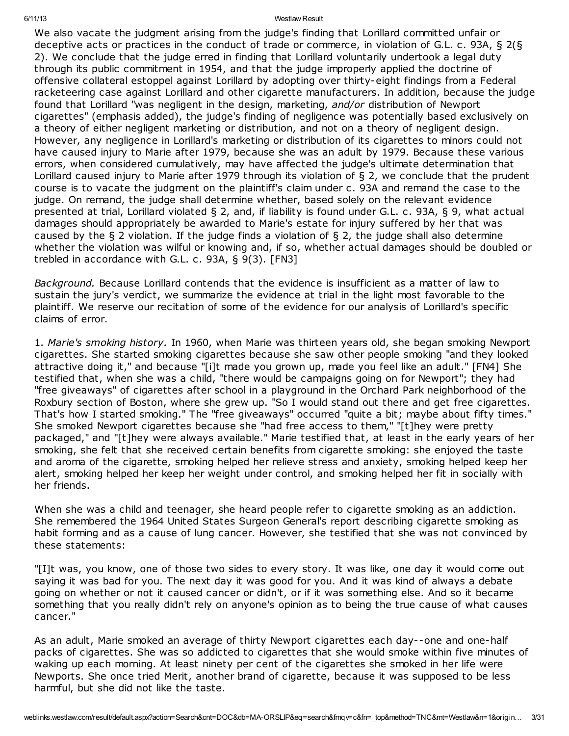We also vacate the judgment arising from the judge's finding that Lorillard committed unfair or deceptive acts or practices in the conduct of trade or commerce, in violation of G.L. c. 93A, § 2(§ 2). We conclude that the judge erred in finding that Lorillard voluntarily undertook a legal duty through its public commitment in 1954, and that the judge improperly applied the doctrine of offensive collateral estoppel against Lorillard by adopting over thirty-eight findings from a Federal racketeering case against Lorillard and other cigarette manufacturers. In addition, because the judge found that Lorillard "was negligent in the design, marketing, and/or distribution of Newport cigarettes" (emphasis added), the judge's finding of negligence was potentially based exclusively on a theory of either negligent marketing or distribution, and not on a theory of negligent design. However, any negligence in Lorillard's marketing or distribution of its cigarettes to minors could not have caused injury to Marie after 1979, because she was an adult by 1979. Because these various errors, when considered cumulatively, may have affected the judge's ultimate determination that Lorillard caused injury to Marie after 1979 through its violation of § 2, we conclude that the prudent course is to vacate the judgment on the plaintiff's claim under c. 93A and remand the case to the judge. On remand, the judge shall determine whether, based solely on the relevant evidence presented at trial, Lorillard violated § 2, and, if liability is found under G.L. c. 93A, § 9, what actual damages should appropriately be awarded to Marie's estate for injury suffered by her that was caused by the § 2 violation. If the judge finds a violation of § 2, the judge shall also determine whether the violation was wilful or knowing and, if so, whether actual damages should be doubled or trebled in accordance with G.L. c. 93A, § 9(3). [FN3]

Background. Because Lorillard contends that the evidence is insufficient as a matter of law to sustain the jury's verdict, we summarize the evidence at trial in the light most favorable to the plaintiff. We reserve our recitation of some of the evidence for our analysis of Lorillard's specific claims of error.

1. Marie's smoking history. In 1960, when Marie was thirteen years old, she began smoking Newport cigarettes. She started smoking cigarettes because she saw other people smoking "and they looked attractive doing it," and because "[i]t made you grown up, made you feel like an adult." [FN4] She testified that, when she was a child, "there would be campaigns going on for Newport"; they had "free giveaways" of cigarettes after school in a playground in the Orchard Park neighborhood of the Roxbury section of Boston, where she grew up. "So I would stand out there and get free cigarettes. That's how I started smoking." The "free giveaways" occurred "quite a bit; maybe about fifty times." She smoked Newport cigarettes because she "had free access to them," "[t]hey were pretty packaged," and "[t]hey were always available." Marie testified that, at least in the early years of her smoking, she felt that she received certain benefits from cigarette smoking: she enjoyed the taste and aroma of the cigarette, smoking helped her relieve stress and anxiety, smoking helped keep her alert, smoking helped her keep her weight under control, and smoking helped her fit in socially with her friends.

When she was a child and teenager, she heard people refer to cigarette smoking as an addiction. She remembered the 1964 United States Surgeon General's report describing cigarette smoking as habit forming and as a cause of lung cancer. However, she testified that she was not convinced by these statements:

"[I]t was, you know, one of those two sides to every story. It was like, one day it would come out saying it was bad for you. The next day it was good for you. And it was kind of always a debate going on whether or not it caused cancer or didn't, or if it was something else. And so it became something that you really didn't rely on anyone's opinion as to being the true cause of what causes cancer."

As an adult, Marie smoked an average of thirty Newport cigarettes each day--one and one-half packs of cigarettes. She was so addicted to cigarettes that she would smoke within five minutes of waking up each morning. At least ninety per cent of the cigarettes she smoked in her life were Newports. She once tried Merit, another brand of cigarette, because it was supposed to be less harmful, but she did not like the taste.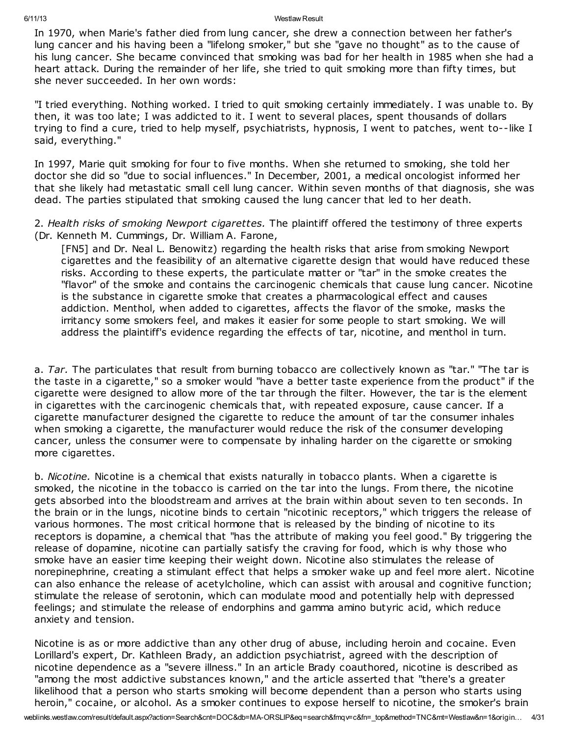In 1970, when Marie's father died from lung cancer, she drew a connection between her father's lung cancer and his having been a "lifelong smoker," but she "gave no thought" as to the cause of his lung cancer. She became convinced that smoking was bad for her health in 1985 when she had a heart attack. During the remainder of her life, she tried to quit smoking more than fifty times, but she never succeeded. In her own words:

"I tried everything. Nothing worked. I tried to quit smoking certainly immediately. I was unable to. By then, it was too late; I was addicted to it. I went to several places, spent thousands of dollars trying to find a cure, tried to help myself, psychiatrists, hypnosis, I went to patches, went to--like I said, everything."

In 1997, Marie quit smoking for four to five months. When she returned to smoking, she told her doctor she did so "due to social influences." In December, 2001, a medical oncologist informed her that she likely had metastatic small cell lung cancer. Within seven months of that diagnosis, she was dead. The parties stipulated that smoking caused the lung cancer that led to her death.

2. Health risks of smoking Newport cigarettes. The plaintiff offered the testimony of three experts (Dr. Kenneth M. Cummings, Dr. William A. Farone,

[FN5] and Dr. Neal L. Benowitz) regarding the health risks that arise from smoking Newport cigarettes and the feasibility of an alternative cigarette design that would have reduced these risks. According to these experts, the particulate matter or "tar" in the smoke creates the "flavor" of the smoke and contains the carcinogenic chemicals that cause lung cancer. Nicotine is the substance in cigarette smoke that creates a pharmacological effect and causes addiction. Menthol, when added to cigarettes, affects the flavor of the smoke, masks the irritancy some smokers feel, and makes it easier for some people to start smoking. We will address the plaintiff's evidence regarding the effects of tar, nicotine, and menthol in turn.

a. Tar. The particulates that result from burning tobacco are collectively known as "tar." "The tar is the taste in a cigarette," so a smoker would "have a better taste experience from the product" if the cigarette were designed to allow more of the tar through the filter. However, the tar is the element in cigarettes with the carcinogenic chemicals that, with repeated exposure, cause cancer. If a cigarette manufacturer designed the cigarette to reduce the amount of tar the consumer inhales when smoking a cigarette, the manufacturer would reduce the risk of the consumer developing cancer, unless the consumer were to compensate by inhaling harder on the cigarette or smoking more cigarettes.

b. Nicotine. Nicotine is a chemical that exists naturally in tobacco plants. When a cigarette is smoked, the nicotine in the tobacco is carried on the tar into the lungs. From there, the nicotine gets absorbed into the bloodstream and arrives at the brain within about seven to ten seconds. In the brain or in the lungs, nicotine binds to certain "nicotinic receptors," which triggers the release of various hormones. The most critical hormone that is released by the binding of nicotine to its receptors is dopamine, a chemical that "has the attribute of making you feel good." By triggering the release of dopamine, nicotine can partially satisfy the craving for food, which is why those who smoke have an easier time keeping their weight down. Nicotine also stimulates the release of norepinephrine, creating a stimulant effect that helps a smoker wake up and feel more alert. Nicotine can also enhance the release of acetylcholine, which can assist with arousal and cognitive function; stimulate the release of serotonin, which can modulate mood and potentially help with depressed feelings; and stimulate the release of endorphins and gamma amino butyric acid, which reduce anxiety and tension.

Nicotine is as or more addictive than any other drug of abuse, including heroin and cocaine. Even Lorillard's expert, Dr. Kathleen Brady, an addiction psychiatrist, agreed with the description of nicotine dependence as a "severe illness." In an article Brady coauthored, nicotine is described as "among the most addictive substances known," and the article asserted that "there's a greater likelihood that a person who starts smoking will become dependent than a person who starts using heroin," cocaine, or alcohol. As a smoker continues to expose herself to nicotine, the smoker's brain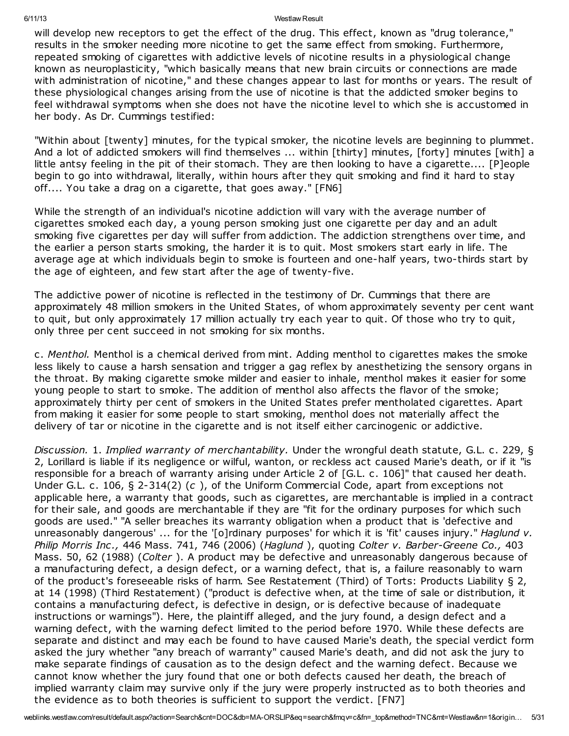will develop new receptors to get the effect of the drug. This effect, known as "drug tolerance," results in the smoker needing more nicotine to get the same effect from smoking. Furthermore, repeated smoking of cigarettes with addictive levels of nicotine results in a physiological change known as neuroplasticity, "which basically means that new brain circuits or connections are made with administration of nicotine," and these changes appear to last for months or years. The result of these physiological changes arising from the use of nicotine is that the addicted smoker begins to feel withdrawal symptoms when she does not have the nicotine level to which she is accustomed in her body. As Dr. Cummings testified:

"Within about [twenty] minutes, for the typical smoker, the nicotine levels are beginning to plummet. And a lot of addicted smokers will find themselves ... within [thirty] minutes, [forty] minutes [with] a little antsy feeling in the pit of their stomach. They are then looking to have a cigarette.... [P]eople begin to go into withdrawal, literally, within hours after they quit smoking and find it hard to stay off.... You take a drag on a cigarette, that goes away." [FN6]

While the strength of an individual's nicotine addiction will vary with the average number of cigarettes smoked each day, a young person smoking just one cigarette per day and an adult smoking five cigarettes per day will suffer from addiction. The addiction strengthens over time, and the earlier a person starts smoking, the harder it is to quit. Most smokers start early in life. The average age at which individuals begin to smoke is fourteen and one-half years, two-thirds start by the age of eighteen, and few start after the age of twenty-five.

The addictive power of nicotine is reflected in the testimony of Dr. Cummings that there are approximately 48 million smokers in the United States, of whom approximately seventy per cent want to quit, but only approximately 17 million actually try each year to quit. Of those who try to quit, only three per cent succeed in not smoking for six months.

c. Menthol. Menthol is a chemical derived from mint. Adding menthol to cigarettes makes the smoke less likely to cause a harsh sensation and trigger a gag reflex by anesthetizing the sensory organs in the throat. By making cigarette smoke milder and easier to inhale, menthol makes it easier for some young people to start to smoke. The addition of menthol also affects the flavor of the smoke; approximately thirty per cent of smokers in the United States prefer mentholated cigarettes. Apart from making it easier for some people to start smoking, menthol does not materially affect the delivery of tar or nicotine in the cigarette and is not itself either carcinogenic or addictive.

Discussion. 1. Implied warranty of merchantability. Under the wrongful death statute, G.L. c. 229, § 2, Lorillard is liable if its negligence or wilful, wanton, or reckless act caused Marie's death, or if it "is responsible for a breach of warranty arising under Article 2 of [G.L. c. 106]" that caused her death. Under G.L. c. 106, § 2-314(2) (c), of the Uniform Commercial Code, apart from exceptions not applicable here, a warranty that goods, such as cigarettes, are merchantable is implied in a contract for their sale, and goods are merchantable if they are "fit for the ordinary purposes for which such goods are used." "A seller breaches its warranty obligation when a product that is 'defective and unreasonably dangerous' ... for the '[o]rdinary purposes' for which it is 'fit' causes injury." *Haglund v.* Philip Morris Inc., 446 Mass. 741, 746 (2006) (Haglund), quoting Colter v. Barber-Greene Co., 403 Mass. 50, 62 (1988) (Colter). A product may be defective and unreasonably dangerous because of a manufacturing defect, a design defect, or a warning defect, that is, a failure reasonably to warn of the product's foreseeable risks of harm. See Restatement (Third) of Torts: Products Liability § 2, at 14 (1998) (Third Restatement) ("product is defective when, at the time of sale or distribution, it contains a manufacturing defect, is defective in design, or is defective because of inadequate instructions or warnings"). Here, the plaintiff alleged, and the jury found, a design defect and a warning defect, with the warning defect limited to the period before 1970. While these defects are separate and distinct and may each be found to have caused Marie's death, the special verdict form asked the jury whether "any breach of warranty" caused Marie's death, and did not ask the jury to make separate findings of causation as to the design defect and the warning defect. Because we cannot know whether the jury found that one or both defects caused her death, the breach of implied warranty claim may survive only if the jury were properly instructed as to both theories and the evidence as to both theories is sufficient to support the verdict. [FN7]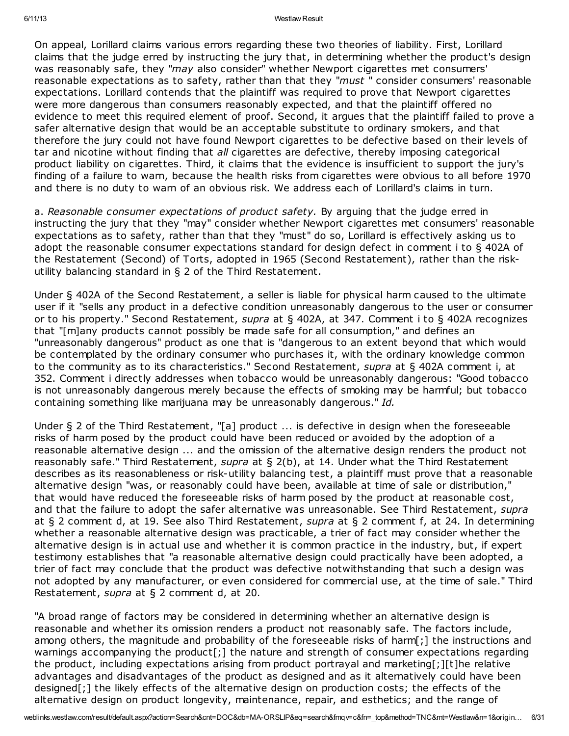On appeal, Lorillard claims various errors regarding these two theories of liability. First, Lorillard claims that the judge erred by instructing the jury that, in determining whether the product's design was reasonably safe, they "may also consider" whether Newport cigarettes met consumers' reasonable expectations as to safety, rather than that they "*must*" consider consumers' reasonable expectations. Lorillard contends that the plaintiff was required to prove that Newport cigarettes were more dangerous than consumers reasonably expected, and that the plaintiff offered no evidence to meet this required element of proof. Second, it argues that the plaintiff failed to prove a safer alternative design that would be an acceptable substitute to ordinary smokers, and that therefore the jury could not have found Newport cigarettes to be defective based on their levels of tar and nicotine without finding that all cigarettes are defective, thereby imposing categorical product liability on cigarettes. Third, it claims that the evidence is insufficient to support the jury's finding of a failure to warn, because the health risks from cigarettes were obvious to all before 1970 and there is no duty to warn of an obvious risk. We address each of Lorillard's claims in turn.

a. Reasonable consumer expectations of product safety. By arguing that the judge erred in instructing the jury that they "may" consider whether Newport cigarettes met consumers' reasonable expectations as to safety, rather than that they "must" do so, Lorillard is effectively asking us to adopt the reasonable consumer expectations standard for design defect in comment i to § 402A of the Restatement (Second) of Torts, adopted in 1965 (Second Restatement), rather than the riskutility balancing standard in § 2 of the Third Restatement.

Under § 402A of the Second Restatement, a seller is liable for physical harm caused to the ultimate user if it "sells any product in a defective condition unreasonably dangerous to the user or consumer or to his property." Second Restatement, supra at § 402A, at 347. Comment i to § 402A recognizes that "[m]any products cannot possibly be made safe for all consumption," and defines an "unreasonably dangerous" product as one that is "dangerous to an extent beyond that which would be contemplated by the ordinary consumer who purchases it, with the ordinary knowledge common to the community as to its characteristics." Second Restatement, supra at § 402A comment i, at 352. Comment i directly addresses when tobacco would be unreasonably dangerous: "Good tobacco is not unreasonably dangerous merely because the effects of smoking may be harmful; but tobacco containing something like marijuana may be unreasonably dangerous." Id.

Under § 2 of the Third Restatement, "[a] product ... is defective in design when the foreseeable risks of harm posed by the product could have been reduced or avoided by the adoption of a reasonable alternative design ... and the omission of the alternative design renders the product not reasonably safe." Third Restatement, supra at § 2(b), at 14. Under what the Third Restatement describes as its reasonableness or risk-utility balancing test, a plaintiff must prove that a reasonable alternative design "was, or reasonably could have been, available at time of sale or distribution," that would have reduced the foreseeable risks of harm posed by the product at reasonable cost, and that the failure to adopt the safer alternative was unreasonable. See Third Restatement, supra at § 2 comment d, at 19. See also Third Restatement, supra at § 2 comment f, at 24. In determining whether a reasonable alternative design was practicable, a trier of fact may consider whether the alternative design is in actual use and whether it is common practice in the industry, but, if expert testimony establishes that "a reasonable alternative design could practically have been adopted, a trier of fact may conclude that the product was defective notwithstanding that such a design was not adopted by any manufacturer, or even considered for commercial use, at the time of sale." Third Restatement, supra at § 2 comment d, at 20.

"A broad range of factors may be considered in determining whether an alternative design is reasonable and whether its omission renders a product not reasonably safe. The factors include, among others, the magnitude and probability of the foreseeable risks of harm[;] the instructions and warnings accompanying the product[;] the nature and strength of consumer expectations regarding the product, including expectations arising from product portrayal and marketing[;][t]he relative advantages and disadvantages of the product as designed and as it alternatively could have been designed[;] the likely effects of the alternative design on production costs; the effects of the alternative design on product longevity, maintenance, repair, and esthetics; and the range of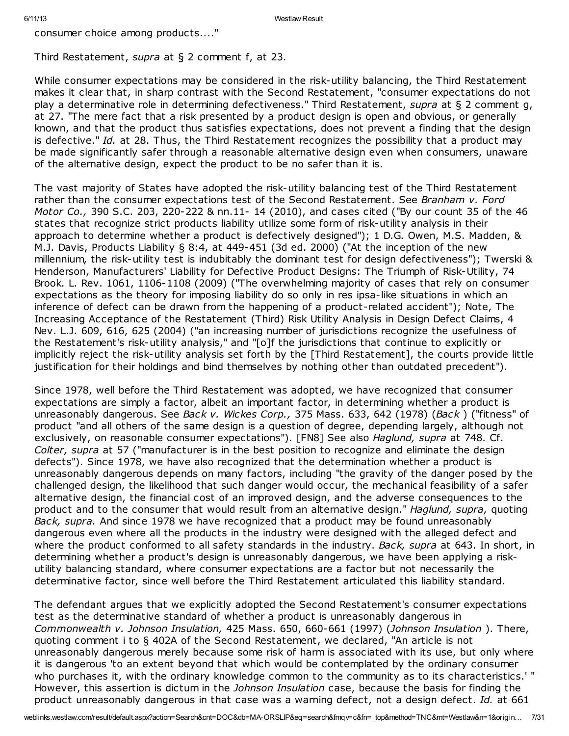consumer choice among products...."

Third Restatement, supra at § 2 comment f, at 23.

While consumer expectations may be considered in the risk-utility balancing, the Third Restatement makes it clear that, in sharp contrast with the Second Restatement, "consumer expectations do not play a determinative role in determining defectiveness." Third Restatement, supra at § 2 comment g, at 27. "The mere fact that a risk presented by a product design is open and obvious, or generally known, and that the product thus satisfies expectations, does not prevent a finding that the design is defective." Id. at 28. Thus, the Third Restatement recognizes the possibility that a product may be made significantly safer through a reasonable alternative design even when consumers, unaware of the alternative design, expect the product to be no safer than it is.

The vast majority of States have adopted the risk-utility balancing test of the Third Restatement rather than the consumer expectations test of the Second Restatement. See Branham v. Ford Motor Co., 390 S.C. 203, 220-222 & nn.11- 14 (2010), and cases cited ("By our count 35 of the 46 states that recognize strict products liability utilize some form of risk-utility analysis in their approach to determine whether a product is defectively designed"); 1 D.G. Owen, M.S. Madden, & M.J. Davis, Products Liability § 8:4, at 449-451 (3d ed. 2000) ("At the inception of the new millennium, the risk-utility test is indubitably the dominant test for design defectiveness"); Twerski & Henderson, Manufacturers' Liability for Defective Product Designs: The Triumph of Risk-Utility, 74 Brook. L. Rev. 1061, 1106-1108 (2009) ("The overwhelming majority of cases that rely on consumer expectations as the theory for imposing liability do so only in res ipsa-like situations in which an inference of defect can be drawn from the happening of a product-related accident"); Note, The Increasing Acceptance of the Restatement (Third) Risk Utility Analysis in Design Defect Claims, 4 Nev. L.J. 609, 616, 625 (2004) ("an increasing number of jurisdictions recognize the usefulness of the Restatement's risk-utility analysis," and "[o]f the jurisdictions that continue to explicitly or implicitly reject the risk-utility analysis set forth by the [Third Restatement], the courts provide little justification for their holdings and bind themselves by nothing other than outdated precedent").

Since 1978, well before the Third Restatement was adopted, we have recognized that consumer expectations are simply a factor, albeit an important factor, in determining whether a product is unreasonably dangerous. See Back v. Wickes Corp., 375 Mass. 633, 642 (1978) (Back) ("fitness" of product "and all others of the same design is a question of degree, depending largely, although not exclusively, on reasonable consumer expectations"). [FN8] See also Haglund, supra at 748. Cf. Colter, supra at 57 ("manufacturer is in the best position to recognize and eliminate the design defects"). Since 1978, we have also recognized that the determination whether a product is unreasonably dangerous depends on many factors, including "the gravity of the danger posed by the challenged design, the likelihood that such danger would occur, the mechanical feasibility of a safer alternative design, the financial cost of an improved design, and the adverse consequences to the product and to the consumer that would result from an alternative design." *Haglund, supra,* quoting Back, supra. And since 1978 we have recognized that a product may be found unreasonably dangerous even where all the products in the industry were designed with the alleged defect and where the product conformed to all safety standards in the industry. Back, supra at 643. In short, in determining whether a product's design is unreasonably dangerous, we have been applying a riskutility balancing standard, where consumer expectations are a factor but not necessarily the determinative factor, since well before the Third Restatement articulated this liability standard.

The defendant argues that we explicitly adopted the Second Restatement's consumer expectations test as the determinative standard of whether a product is unreasonably dangerous in Commonwealth v. Johnson Insulation, 425 Mass. 650, 660-661 (1997) (Johnson Insulation ). There, quoting comment i to § 402A of the Second Restatement, we declared, "An article is not unreasonably dangerous merely because some risk of harm is associated with its use, but only where it is dangerous 'to an extent beyond that which would be contemplated by the ordinary consumer who purchases it, with the ordinary knowledge common to the community as to its characteristics.' " However, this assertion is dictum in the *Johnson Insulation* case, because the basis for finding the product unreasonably dangerous in that case was a warning defect, not a design defect. Id. at 661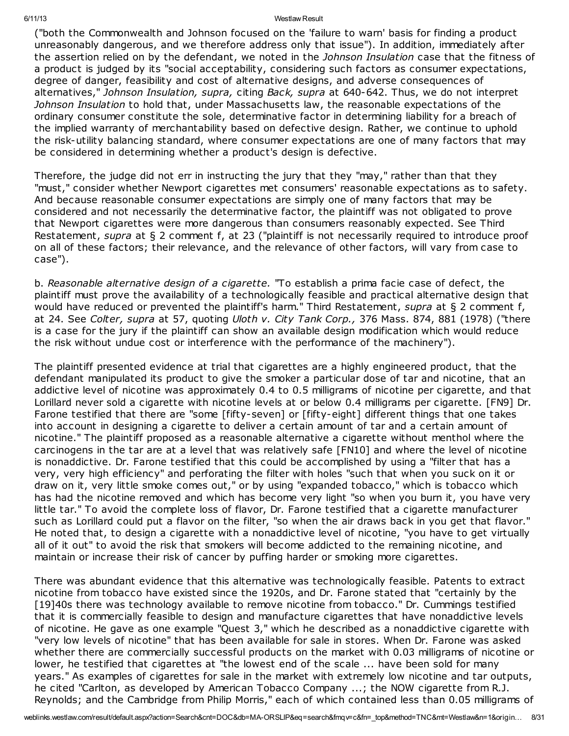("both the Commonwealth and Johnson focused on the 'failure to warn' basis for finding a product unreasonably dangerous, and we therefore address only that issue"). In addition, immediately after the assertion relied on by the defendant, we noted in the Johnson Insulation case that the fitness of a product is judged by its "social acceptability, considering such factors as consumer expectations, degree of danger, feasibility and cost of alternative designs, and adverse consequences of alternatives," Johnson Insulation, supra, citing Back, supra at 640-642. Thus, we do not interpret Johnson Insulation to hold that, under Massachusetts law, the reasonable expectations of the ordinary consumer constitute the sole, determinative factor in determining liability for a breach of the implied warranty of merchantability based on defective design. Rather, we continue to uphold the risk-utility balancing standard, where consumer expectations are one of many factors that may be considered in determining whether a product's design is defective.

Therefore, the judge did not err in instructing the jury that they "may," rather than that they "must," consider whether Newport cigarettes met consumers' reasonable expectations as to safety. And because reasonable consumer expectations are simply one of many factors that may be considered and not necessarily the determinative factor, the plaintiff was not obligated to prove that Newport cigarettes were more dangerous than consumers reasonably expected. See Third Restatement, supra at § 2 comment f, at 23 ("plaintiff is not necessarily required to introduce proof on all of these factors; their relevance, and the relevance of other factors, will vary from case to case").

b. Reasonable alternative design of a cigarette. "To establish a prima facie case of defect, the plaintiff must prove the availability of a technologically feasible and practical alternative design that would have reduced or prevented the plaintiff's harm." Third Restatement, supra at § 2 comment f, at 24. See Colter, supra at 57, quoting Uloth v. City Tank Corp., 376 Mass. 874, 881 (1978) ("there is a case for the jury if the plaintiff can show an available design modification which would reduce the risk without undue cost or interference with the performance of the machinery").

The plaintiff presented evidence at trial that cigarettes are a highly engineered product, that the defendant manipulated its product to give the smoker a particular dose of tar and nicotine, that an addictive level of nicotine was approximately 0.4 to 0.5 milligrams of nicotine per cigarette, and that Lorillard never sold a cigarette with nicotine levels at or below 0.4 milligrams per cigarette. [FN9] Dr. Farone testified that there are "some [fifty-seven] or [fifty-eight] different things that one takes into account in designing a cigarette to deliver a certain amount of tar and a certain amount of nicotine." The plaintiff proposed as a reasonable alternative a cigarette without menthol where the carcinogens in the tar are at a level that was relatively safe [FN10] and where the level of nicotine is nonaddictive. Dr. Farone testified that this could be accomplished by using a "filter that has a very, very high efficiency" and perforating the filter with holes "such that when you suck on it or draw on it, very little smoke comes out," or by using "expanded tobacco," which is tobacco which has had the nicotine removed and which has become very light "so when you burn it, you have very little tar." To avoid the complete loss of flavor, Dr. Farone testified that a cigarette manufacturer such as Lorillard could put a flavor on the filter, "so when the air draws back in you get that flavor." He noted that, to design a cigarette with a nonaddictive level of nicotine, "you have to get virtually all of it out" to avoid the risk that smokers will become addicted to the remaining nicotine, and maintain or increase their risk of cancer by puffing harder or smoking more cigarettes.

There was abundant evidence that this alternative was technologically feasible. Patents to extract nicotine from tobacco have existed since the 1920s, and Dr. Farone stated that "certainly by the [19]40s there was technology available to remove nicotine from tobacco." Dr. Cummings testified that it is commercially feasible to design and manufacture cigarettes that have nonaddictive levels of nicotine. He gave as one example "Quest 3," which he described as a nonaddictive cigarette with "very low levels of nicotine" that has been available for sale in stores. When Dr. Farone was asked whether there are commercially successful products on the market with 0.03 milligrams of nicotine or lower, he testified that cigarettes at "the lowest end of the scale ... have been sold for many years." As examples of cigarettes for sale in the market with extremely low nicotine and tar outputs, he cited "Carlton, as developed by American Tobacco Company ...; the NOW cigarette from R.J. Reynolds; and the Cambridge from Philip Morris," each of which contained less than 0.05 milligrams of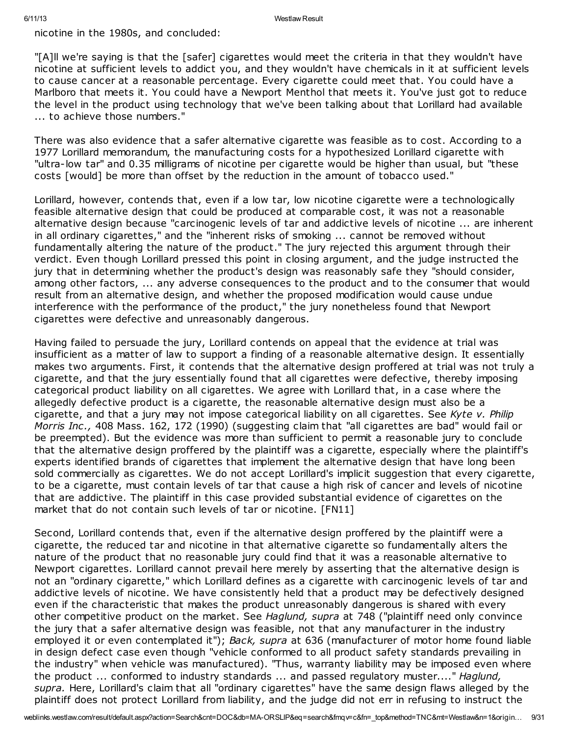nicotine in the 1980s, and concluded:

"[A]ll we're saying is that the [safer] cigarettes would meet the criteria in that they wouldn't have nicotine at sufficient levels to addict you, and they wouldn't have chemicals in it at sufficient levels to cause cancer at a reasonable percentage. Every cigarette could meet that. You could have a Marlboro that meets it. You could have a Newport Menthol that meets it. You've just got to reduce the level in the product using technology that we've been talking about that Lorillard had available ... to achieve those numbers."

There was also evidence that a safer alternative cigarette was feasible as to cost. According to a 1977 Lorillard memorandum, the manufacturing costs for a hypothesized Lorillard cigarette with "ultra-low tar" and 0.35 milligrams of nicotine per cigarette would be higher than usual, but "these costs [would] be more than offset by the reduction in the amount of tobacco used."

Lorillard, however, contends that, even if a low tar, low nicotine cigarette were a technologically feasible alternative design that could be produced at comparable cost, it was not a reasonable alternative design because "carcinogenic levels of tar and addictive levels of nicotine ... are inherent in all ordinary cigarettes," and the "inherent risks of smoking ... cannot be removed without fundamentally altering the nature of the product." The jury rejected this argument through their verdict. Even though Lorillard pressed this point in closing argument, and the judge instructed the jury that in determining whether the product's design was reasonably safe they "should consider, among other factors, ... any adverse consequences to the product and to the consumer that would result from an alternative design, and whether the proposed modification would cause undue interference with the performance of the product," the jury nonetheless found that Newport cigarettes were defective and unreasonably dangerous.

Having failed to persuade the jury, Lorillard contends on appeal that the evidence at trial was insufficient as a matter of law to support a finding of a reasonable alternative design. It essentially makes two arguments. First, it contends that the alternative design proffered at trial was not truly a cigarette, and that the jury essentially found that all cigarettes were defective, thereby imposing categorical product liability on all cigarettes. We agree with Lorillard that, in a case where the allegedly defective product is a cigarette, the reasonable alternative design must also be a cigarette, and that a jury may not impose categorical liability on all cigarettes. See Kyte v. Philip Morris Inc., 408 Mass. 162, 172 (1990) (suggesting claim that "all cigarettes are bad" would fail or be preempted). But the evidence was more than sufficient to permit a reasonable jury to conclude that the alternative design proffered by the plaintiff was a cigarette, especially where the plaintiff's experts identified brands of cigarettes that implement the alternative design that have long been sold commercially as cigarettes. We do not accept Lorillard's implicit suggestion that every cigarette, to be a cigarette, must contain levels of tar that cause a high risk of cancer and levels of nicotine that are addictive. The plaintiff in this case provided substantial evidence of cigarettes on the market that do not contain such levels of tar or nicotine. [FN11]

Second, Lorillard contends that, even if the alternative design proffered by the plaintiff were a cigarette, the reduced tar and nicotine in that alternative cigarette so fundamentally alters the nature of the product that no reasonable jury could find that it was a reasonable alternative to Newport cigarettes. Lorillard cannot prevail here merely by asserting that the alternative design is not an "ordinary cigarette," which Lorillard defines as a cigarette with carcinogenic levels of tar and addictive levels of nicotine. We have consistently held that a product may be defectively designed even if the characteristic that makes the product unreasonably dangerous is shared with every other competitive product on the market. See Haglund, supra at 748 ("plaintiff need only convince the jury that a safer alternative design was feasible, not that any manufacturer in the industry employed it or even contemplated it"); Back, supra at 636 (manufacturer of motor home found liable in design defect case even though "vehicle conformed to all product safety standards prevailing in the industry" when vehicle was manufactured). "Thus, warranty liability may be imposed even where the product ... conformed to industry standards ... and passed regulatory muster...." *Haglund*, supra. Here, Lorillard's claim that all "ordinary cigarettes" have the same design flaws alleged by the plaintiff does not protect Lorillard from liability, and the judge did not err in refusing to instruct the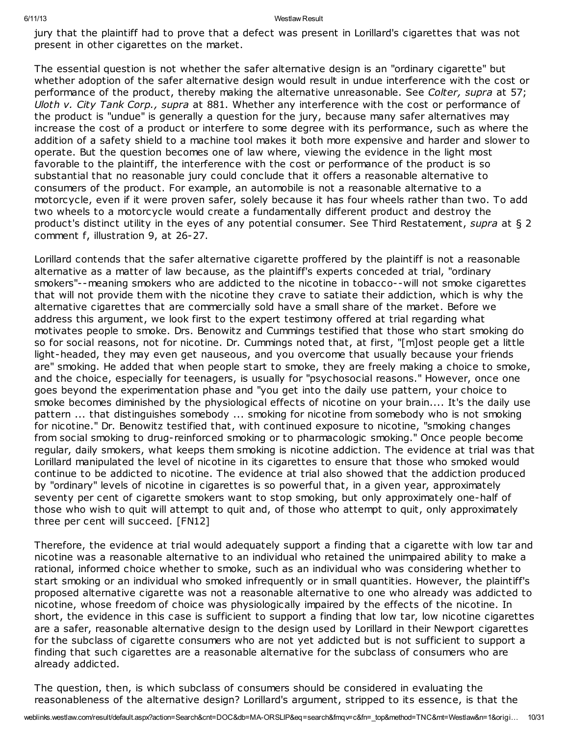jury that the plaintiff had to prove that a defect was present in Lorillard's cigarettes that was not present in other cigarettes on the market.

The essential question is not whether the safer alternative design is an "ordinary cigarette" but whether adoption of the safer alternative design would result in undue interference with the cost or performance of the product, thereby making the alternative unreasonable. See Colter, supra at 57; Uloth v. City Tank Corp., supra at 881. Whether any interference with the cost or performance of the product is "undue" is generally a question for the jury, because many safer alternatives may increase the cost of a product or interfere to some degree with its performance, such as where the addition of a safety shield to a machine tool makes it both more expensive and harder and slower to operate. But the question becomes one of law where, viewing the evidence in the light most favorable to the plaintiff, the interference with the cost or performance of the product is so substantial that no reasonable jury could conclude that it offers a reasonable alternative to consumers of the product. For example, an automobile is not a reasonable alternative to a motorcycle, even if it were proven safer, solely because it has four wheels rather than two. To add two wheels to a motorcycle would create a fundamentally different product and destroy the product's distinct utility in the eyes of any potential consumer. See Third Restatement, supra at § 2 comment f, illustration 9, at 26-27.

Lorillard contends that the safer alternative cigarette proffered by the plaintiff is not a reasonable alternative as a matter of law because, as the plaintiff's experts conceded at trial, "ordinary smokers"--meaning smokers who are addicted to the nicotine in tobacco--will not smoke cigarettes that will not provide them with the nicotine they crave to satiate their addiction, which is why the alternative cigarettes that are commercially sold have a small share of the market. Before we address this argument, we look first to the expert testimony offered at trial regarding what motivates people to smoke. Drs. Benowitz and Cummings testified that those who start smoking do so for social reasons, not for nicotine. Dr. Cummings noted that, at first, "[m]ost people get a little light-headed, they may even get nauseous, and you overcome that usually because your friends are" smoking. He added that when people start to smoke, they are freely making a choice to smoke, and the choice, especially for teenagers, is usually for "psychosocial reasons." However, once one goes beyond the experimentation phase and "you get into the daily use pattern, your choice to smoke becomes diminished by the physiological effects of nicotine on your brain.... It's the daily use pattern ... that distinguishes somebody ... smoking for nicotine from somebody who is not smoking for nicotine." Dr. Benowitz testified that, with continued exposure to nicotine, "smoking changes from social smoking to drug-reinforced smoking or to pharmacologic smoking." Once people become regular, daily smokers, what keeps them smoking is nicotine addiction. The evidence at trial was that Lorillard manipulated the level of nicotine in its cigarettes to ensure that those who smoked would continue to be addicted to nicotine. The evidence at trial also showed that the addiction produced by "ordinary" levels of nicotine in cigarettes is so powerful that, in a given year, approximately seventy per cent of cigarette smokers want to stop smoking, but only approximately one-half of those who wish to quit will attempt to quit and, of those who attempt to quit, only approximately three per cent will succeed. [FN12]

Therefore, the evidence at trial would adequately support a finding that a cigarette with low tar and nicotine was a reasonable alternative to an individual who retained the unimpaired ability to make a rational, informed choice whether to smoke, such as an individual who was considering whether to start smoking or an individual who smoked infrequently or in small quantities. However, the plaintiff's proposed alternative cigarette was not a reasonable alternative to one who already was addicted to nicotine, whose freedom of choice was physiologically impaired by the effects of the nicotine. In short, the evidence in this case is sufficient to support a finding that low tar, low nicotine cigarettes are a safer, reasonable alternative design to the design used by Lorillard in their Newport cigarettes for the subclass of cigarette consumers who are not yet addicted but is not sufficient to support a finding that such cigarettes are a reasonable alternative for the subclass of consumers who are already addicted.

The question, then, is which subclass of consumers should be considered in evaluating the reasonableness of the alternative design? Lorillard's argument, stripped to its essence, is that the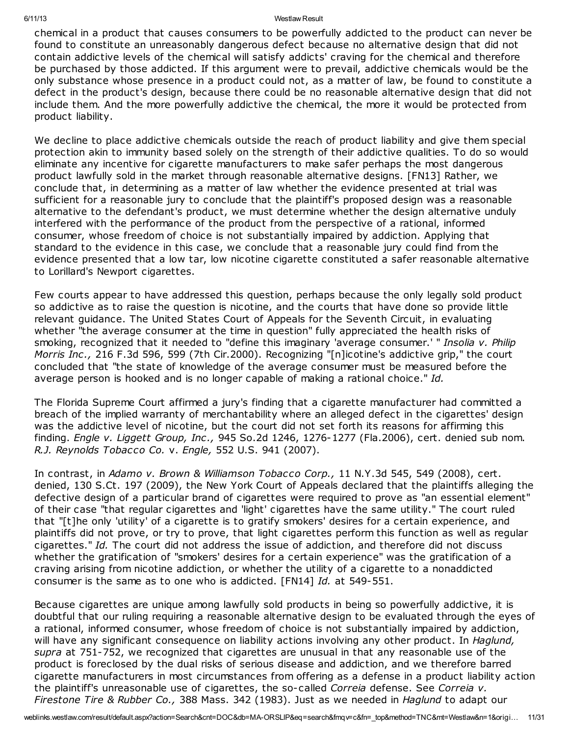chemical in a product that causes consumers to be powerfully addicted to the product can never be found to constitute an unreasonably dangerous defect because no alternative design that did not contain addictive levels of the chemical will satisfy addicts' craving for the chemical and therefore be purchased by those addicted. If this argument were to prevail, addictive chemicals would be the only substance whose presence in a product could not, as a matter of law, be found to constitute a defect in the product's design, because there could be no reasonable alternative design that did not include them. And the more powerfully addictive the chemical, the more it would be protected from product liability.

We decline to place addictive chemicals outside the reach of product liability and give them special protection akin to immunity based solely on the strength of their addictive qualities. To do so would eliminate any incentive for cigarette manufacturers to make safer perhaps the most dangerous product lawfully sold in the market through reasonable alternative designs. [FN13] Rather, we conclude that, in determining as a matter of law whether the evidence presented at trial was sufficient for a reasonable jury to conclude that the plaintiff's proposed design was a reasonable alternative to the defendant's product, we must determine whether the design alternative unduly interfered with the performance of the product from the perspective of a rational, informed consumer, whose freedom of choice is not substantially impaired by addiction. Applying that standard to the evidence in this case, we conclude that a reasonable jury could find from the evidence presented that a low tar, low nicotine cigarette constituted a safer reasonable alternative to Lorillard's Newport cigarettes.

Few courts appear to have addressed this question, perhaps because the only legally sold product so addictive as to raise the question is nicotine, and the courts that have done so provide little relevant guidance. The United States Court of Appeals for the Seventh Circuit, in evaluating whether "the average consumer at the time in question" fully appreciated the health risks of smoking, recognized that it needed to "define this imaginary 'average consumer.' " Insolia v. Philip Morris Inc., 216 F.3d 596, 599 (7th Cir.2000). Recognizing "[n]icotine's addictive grip," the court concluded that "the state of knowledge of the average consumer must be measured before the average person is hooked and is no longer capable of making a rational choice." Id.

The Florida Supreme Court affirmed a jury's finding that a cigarette manufacturer had committed a breach of the implied warranty of merchantability where an alleged defect in the cigarettes' design was the addictive level of nicotine, but the court did not set forth its reasons for affirming this finding. Engle v. Liggett Group, Inc., 945 So.2d 1246, 1276-1277 (Fla.2006), cert. denied sub nom. R.J. Reynolds Tobacco Co. v. Engle, 552 U.S. 941 (2007).

In contrast, in Adamo v. Brown & Williamson Tobacco Corp., 11 N.Y.3d 545, 549 (2008), cert. denied, 130 S.Ct. 197 (2009), the New York Court of Appeals declared that the plaintiffs alleging the defective design of a particular brand of cigarettes were required to prove as "an essential element" of their case "that regular cigarettes and 'light' cigarettes have the same utility." The court ruled that "[t]he only 'utility' of a cigarette is to gratify smokers' desires for a certain experience, and plaintiffs did not prove, or try to prove, that light cigarettes perform this function as well as regular cigarettes." Id. The court did not address the issue of addiction, and therefore did not discuss whether the gratification of "smokers' desires for a certain experience" was the gratification of a craving arising from nicotine addiction, or whether the utility of a cigarette to a nonaddicted consumer is the same as to one who is addicted. [FN14] Id. at 549-551.

Because cigarettes are unique among lawfully sold products in being so powerfully addictive, it is doubtful that our ruling requiring a reasonable alternative design to be evaluated through the eyes of a rational, informed consumer, whose freedom of choice is not substantially impaired by addiction, will have any significant consequence on liability actions involving any other product. In *Haglund,* supra at 751-752, we recognized that cigarettes are unusual in that any reasonable use of the product is foreclosed by the dual risks of serious disease and addiction, and we therefore barred cigarette manufacturers in most circumstances from offering as a defense in a product liability action the plaintiff's unreasonable use of cigarettes, the so-called Correia defense. See Correia v. Firestone Tire & Rubber Co., 388 Mass. 342 (1983). Just as we needed in Haglund to adapt our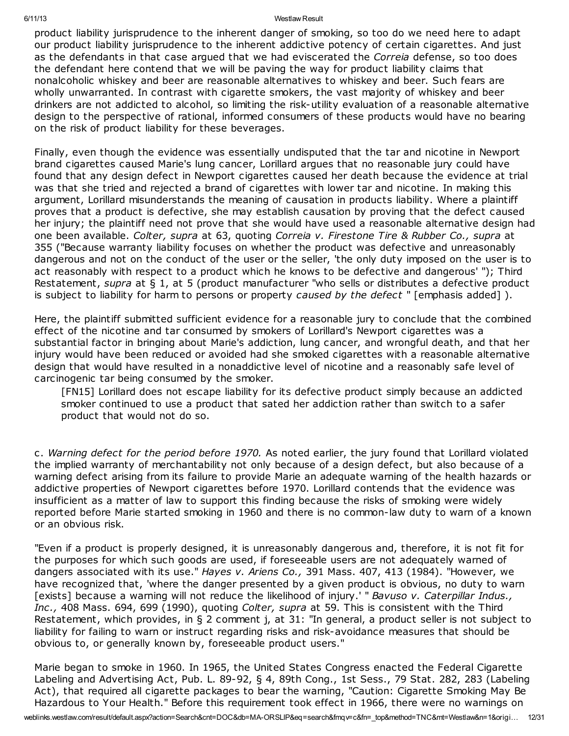product liability jurisprudence to the inherent danger of smoking, so too do we need here to adapt our product liability jurisprudence to the inherent addictive potency of certain cigarettes. And just as the defendants in that case argued that we had eviscerated the Correia defense, so too does the defendant here contend that we will be paving the way for product liability claims that nonalcoholic whiskey and beer are reasonable alternatives to whiskey and beer. Such fears are wholly unwarranted. In contrast with cigarette smokers, the vast majority of whiskey and beer drinkers are not addicted to alcohol, so limiting the risk-utility evaluation of a reasonable alternative design to the perspective of rational, informed consumers of these products would have no bearing on the risk of product liability for these beverages.

Finally, even though the evidence was essentially undisputed that the tar and nicotine in Newport brand cigarettes caused Marie's lung cancer, Lorillard argues that no reasonable jury could have found that any design defect in Newport cigarettes caused her death because the evidence at trial was that she tried and rejected a brand of cigarettes with lower tar and nicotine. In making this argument, Lorillard misunderstands the meaning of causation in products liability. Where a plaintiff proves that a product is defective, she may establish causation by proving that the defect caused her injury; the plaintiff need not prove that she would have used a reasonable alternative design had one been available. Colter, supra at 63, quoting Correia v. Firestone Tire & Rubber Co., supra at 355 ("Because warranty liability focuses on whether the product was defective and unreasonably dangerous and not on the conduct of the user or the seller, 'the only duty imposed on the user is to act reasonably with respect to a product which he knows to be defective and dangerous' "); Third Restatement, supra at § 1, at 5 (product manufacturer "who sells or distributes a defective product is subject to liability for harm to persons or property caused by the defect " [emphasis added]).

Here, the plaintiff submitted sufficient evidence for a reasonable jury to conclude that the combined effect of the nicotine and tar consumed by smokers of Lorillard's Newport cigarettes was a substantial factor in bringing about Marie's addiction, lung cancer, and wrongful death, and that her injury would have been reduced or avoided had she smoked cigarettes with a reasonable alternative design that would have resulted in a nonaddictive level of nicotine and a reasonably safe level of carcinogenic tar being consumed by the smoker.

[FN15] Lorillard does not escape liability for its defective product simply because an addicted smoker continued to use a product that sated her addiction rather than switch to a safer product that would not do so.

c. Warning defect for the period before 1970. As noted earlier, the jury found that Lorillard violated the implied warranty of merchantability not only because of a design defect, but also because of a warning defect arising from its failure to provide Marie an adequate warning of the health hazards or addictive properties of Newport cigarettes before 1970. Lorillard contends that the evidence was insufficient as a matter of law to support this finding because the risks of smoking were widely reported before Marie started smoking in 1960 and there is no common-law duty to warn of a known or an obvious risk.

"Even if a product is properly designed, it is unreasonably dangerous and, therefore, it is not fit for the purposes for which such goods are used, if foreseeable users are not adequately warned of dangers associated with its use." Hayes v. Ariens Co., 391 Mass. 407, 413 (1984). "However, we have recognized that, 'where the danger presented by a given product is obvious, no duty to warn [exists] because a warning will not reduce the likelihood of injury.' " Bavuso v. Caterpillar Indus., Inc., 408 Mass. 694, 699 (1990), quoting Colter, supra at 59. This is consistent with the Third Restatement, which provides, in § 2 comment j, at 31: "In general, a product seller is not subject to liability for failing to warn or instruct regarding risks and risk-avoidance measures that should be obvious to, or generally known by, foreseeable product users."

Marie began to smoke in 1960. In 1965, the United States Congress enacted the Federal Cigarette Labeling and Advertising Act, Pub. L. 89-92, § 4, 89th Cong., 1st Sess., 79 Stat. 282, 283 (Labeling Act), that required all cigarette packages to bear the warning, "Caution: Cigarette Smoking May Be Hazardous to Your Health." Before this requirement took effect in 1966, there were no warnings on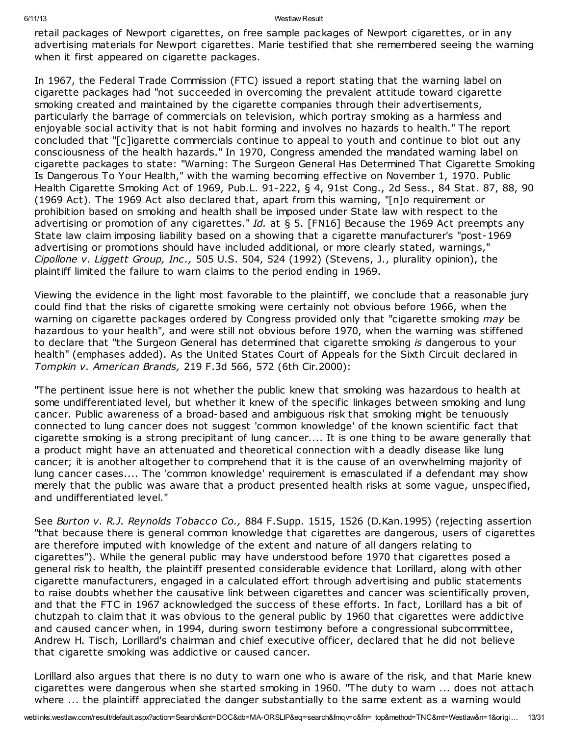retail packages of Newport cigarettes, on free sample packages of Newport cigarettes, or in any advertising materials for Newport cigarettes. Marie testified that she remembered seeing the warning when it first appeared on cigarette packages.

In 1967, the Federal Trade Commission (FTC) issued a report stating that the warning label on cigarette packages had "not succeeded in overcoming the prevalent attitude toward cigarette smoking created and maintained by the cigarette companies through their advertisements, particularly the barrage of commercials on television, which portray smoking as a harmless and enjoyable social activity that is not habit forming and involves no hazards to health." The report concluded that "[c]igarette commercials continue to appeal to youth and continue to blot out any consciousness of the health hazards." In 1970, Congress amended the mandated warning label on cigarette packages to state: "Warning: The Surgeon General Has Determined That Cigarette Smoking Is Dangerous To Your Health," with the warning becoming effective on November 1, 1970. Public Health Cigarette Smoking Act of 1969, Pub.L. 91-222, § 4, 91st Cong., 2d Sess., 84 Stat. 87, 88, 90 (1969 Act). The 1969 Act also declared that, apart from this warning, "[n]o requirement or prohibition based on smoking and health shall be imposed under State law with respect to the advertising or promotion of any cigarettes." Id. at  $\S$  5. [FN16] Because the 1969 Act preempts any State law claim imposing liability based on a showing that a cigarette manufacturer's "post-1969 advertising or promotions should have included additional, or more clearly stated, warnings," Cipollone v. Liggett Group, Inc., 505 U.S. 504, 524 (1992) (Stevens, J., plurality opinion), the plaintiff limited the failure to warn claims to the period ending in 1969.

Viewing the evidence in the light most favorable to the plaintiff, we conclude that a reasonable jury could find that the risks of cigarette smoking were certainly not obvious before 1966, when the warning on cigarette packages ordered by Congress provided only that "cigarette smoking may be hazardous to your health", and were still not obvious before 1970, when the warning was stiffened to declare that "the Surgeon General has determined that cigarette smoking is dangerous to your health" (emphases added). As the United States Court of Appeals for the Sixth Circuit declared in Tompkin v. American Brands, 219 F.3d 566, 572 (6th Cir.2000):

"The pertinent issue here is not whether the public knew that smoking was hazardous to health at some undifferentiated level, but whether it knew of the specific linkages between smoking and lung cancer. Public awareness of a broad-based and ambiguous risk that smoking might be tenuously connected to lung cancer does not suggest 'common knowledge' of the known scientific fact that cigarette smoking is a strong precipitant of lung cancer.... It is one thing to be aware generally that a product might have an attenuated and theoretical connection with a deadly disease like lung cancer; it is another altogether to comprehend that it is the cause of an overwhelming majority of lung cancer cases.... The 'common knowledge' requirement is emasculated if a defendant may show merely that the public was aware that a product presented health risks at some vague, unspecified, and undifferentiated level."

See Burton v. R.J. Reynolds Tobacco Co., 884 F.Supp. 1515, 1526 (D.Kan.1995) (rejecting assertion "that because there is general common knowledge that cigarettes are dangerous, users of cigarettes are therefore imputed with knowledge of the extent and nature of all dangers relating to cigarettes"). While the general public may have understood before 1970 that cigarettes posed a general risk to health, the plaintiff presented considerable evidence that Lorillard, along with other cigarette manufacturers, engaged in a calculated effort through advertising and public statements to raise doubts whether the causative link between cigarettes and cancer was scientifically proven, and that the FTC in 1967 acknowledged the success of these efforts. In fact, Lorillard has a bit of chutzpah to claim that it was obvious to the general public by 1960 that cigarettes were addictive and caused cancer when, in 1994, during sworn testimony before a congressional subcommittee, Andrew H. Tisch, Lorillard's chairman and chief executive officer, declared that he did not believe that cigarette smoking was addictive or caused cancer.

Lorillard also argues that there is no duty to warn one who is aware of the risk, and that Marie knew cigarettes were dangerous when she started smoking in 1960. "The duty to warn ... does not attach where ... the plaintiff appreciated the danger substantially to the same extent as a warning would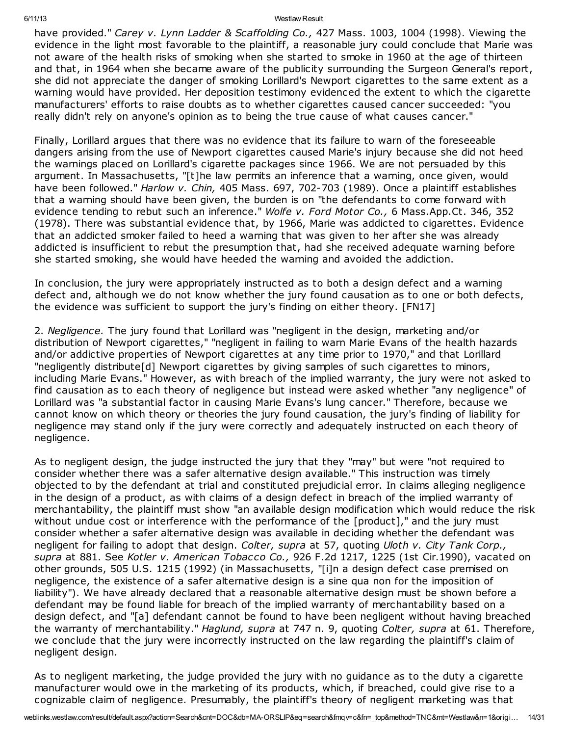have provided." Carey v. Lynn Ladder & Scaffolding Co., 427 Mass. 1003, 1004 (1998). Viewing the evidence in the light most favorable to the plaintiff, a reasonable jury could conclude that Marie was not aware of the health risks of smoking when she started to smoke in 1960 at the age of thirteen and that, in 1964 when she became aware of the publicity surrounding the Surgeon General's report, she did not appreciate the danger of smoking Lorillard's Newport cigarettes to the same extent as a warning would have provided. Her deposition testimony evidenced the extent to which the cigarette manufacturers' efforts to raise doubts as to whether cigarettes caused cancer succeeded: "you really didn't rely on anyone's opinion as to being the true cause of what causes cancer."

Finally, Lorillard argues that there was no evidence that its failure to warn of the foreseeable dangers arising from the use of Newport cigarettes caused Marie's injury because she did not heed the warnings placed on Lorillard's cigarette packages since 1966. We are not persuaded by this argument. In Massachusetts, "[t]he law permits an inference that a warning, once given, would have been followed." Harlow v. Chin, 405 Mass. 697, 702-703 (1989). Once a plaintiff establishes that a warning should have been given, the burden is on "the defendants to come forward with evidence tending to rebut such an inference." Wolfe v. Ford Motor Co., 6 Mass.App.Ct. 346, 352 (1978). There was substantial evidence that, by 1966, Marie was addicted to cigarettes. Evidence that an addicted smoker failed to heed a warning that was given to her after she was already addicted is insufficient to rebut the presumption that, had she received adequate warning before she started smoking, she would have heeded the warning and avoided the addiction.

In conclusion, the jury were appropriately instructed as to both a design defect and a warning defect and, although we do not know whether the jury found causation as to one or both defects, the evidence was sufficient to support the jury's finding on either theory. [FN17]

2. Negligence. The jury found that Lorillard was "negligent in the design, marketing and/or distribution of Newport cigarettes," "negligent in failing to warn Marie Evans of the health hazards and/or addictive properties of Newport cigarettes at any time prior to 1970," and that Lorillard "negligently distribute[d] Newport cigarettes by giving samples of such cigarettes to minors, including Marie Evans." However, as with breach of the implied warranty, the jury were not asked to find causation as to each theory of negligence but instead were asked whether "any negligence" of Lorillard was "a substantial factor in causing Marie Evans's lung cancer." Therefore, because we cannot know on which theory or theories the jury found causation, the jury's finding of liability for negligence may stand only if the jury were correctly and adequately instructed on each theory of negligence.

As to negligent design, the judge instructed the jury that they "may" but were "not required to consider whether there was a safer alternative design available." This instruction was timely objected to by the defendant at trial and constituted prejudicial error. In claims alleging negligence in the design of a product, as with claims of a design defect in breach of the implied warranty of merchantability, the plaintiff must show "an available design modification which would reduce the risk without undue cost or interference with the performance of the [product]," and the jury must consider whether a safer alternative design was available in deciding whether the defendant was negligent for failing to adopt that design. Colter, supra at 57, quoting Uloth v. City Tank Corp., supra at 881. See Kotler v. American Tobacco Co., 926 F.2d 1217, 1225 (1st Cir.1990), vacated on other grounds, 505 U.S. 1215 (1992) (in Massachusetts, "[i]n a design defect case premised on negligence, the existence of a safer alternative design is a sine qua non for the imposition of liability"). We have already declared that a reasonable alternative design must be shown before a defendant may be found liable for breach of the implied warranty of merchantability based on a design defect, and "[a] defendant cannot be found to have been negligent without having breached the warranty of merchantability." Haglund, supra at 747 n. 9, quoting Colter, supra at 61. Therefore, we conclude that the jury were incorrectly instructed on the law regarding the plaintiff's claim of negligent design.

As to negligent marketing, the judge provided the jury with no guidance as to the duty a cigarette manufacturer would owe in the marketing of its products, which, if breached, could give rise to a cognizable claim of negligence. Presumably, the plaintiff's theory of negligent marketing was that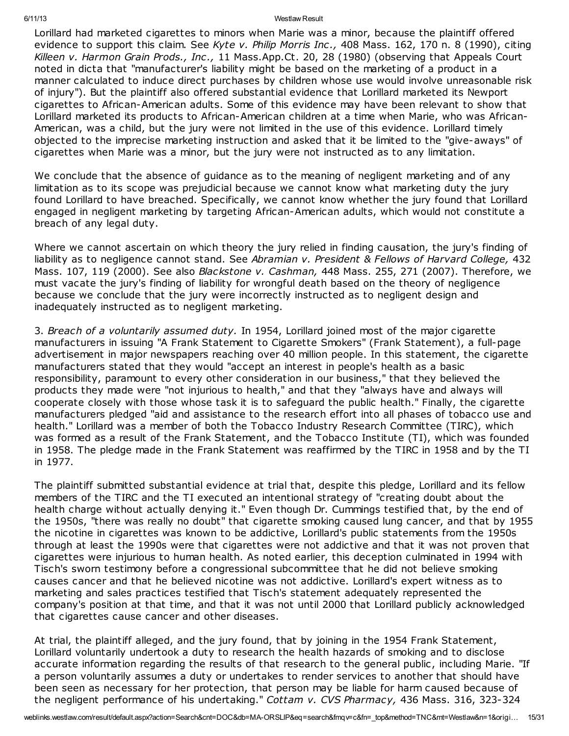Lorillard had marketed cigarettes to minors when Marie was a minor, because the plaintiff offered evidence to support this claim. See Kyte v. Philip Morris Inc., 408 Mass. 162, 170 n. 8 (1990), citing Killeen v. Harmon Grain Prods., Inc., 11 Mass.App.Ct. 20, 28 (1980) (observing that Appeals Court noted in dicta that "manufacturer's liability might be based on the marketing of a product in a manner calculated to induce direct purchases by children whose use would involve unreasonable risk of injury"). But the plaintiff also offered substantial evidence that Lorillard marketed its Newport cigarettes to African-American adults. Some of this evidence may have been relevant to show that Lorillard marketed its products to African-American children at a time when Marie, who was African-American, was a child, but the jury were not limited in the use of this evidence. Lorillard timely objected to the imprecise marketing instruction and asked that it be limited to the "give-aways" of cigarettes when Marie was a minor, but the jury were not instructed as to any limitation.

We conclude that the absence of guidance as to the meaning of negligent marketing and of any limitation as to its scope was prejudicial because we cannot know what marketing duty the jury found Lorillard to have breached. Specifically, we cannot know whether the jury found that Lorillard engaged in negligent marketing by targeting African-American adults, which would not constitute a breach of any legal duty.

Where we cannot ascertain on which theory the jury relied in finding causation, the jury's finding of liability as to negligence cannot stand. See Abramian v. President & Fellows of Harvard College, 432 Mass. 107, 119 (2000). See also Blackstone v. Cashman, 448 Mass. 255, 271 (2007). Therefore, we must vacate the jury's finding of liability for wrongful death based on the theory of negligence because we conclude that the jury were incorrectly instructed as to negligent design and inadequately instructed as to negligent marketing.

3. Breach of a voluntarily assumed duty. In 1954, Lorillard joined most of the major cigarette manufacturers in issuing "A Frank Statement to Cigarette Smokers" (Frank Statement), a full-page advertisement in major newspapers reaching over 40 million people. In this statement, the cigarette manufacturers stated that they would "accept an interest in people's health as a basic responsibility, paramount to every other consideration in our business," that they believed the products they made were "not injurious to health," and that they "always have and always will cooperate closely with those whose task it is to safeguard the public health." Finally, the cigarette manufacturers pledged "aid and assistance to the research effort into all phases of tobacco use and health." Lorillard was a member of both the Tobacco Industry Research Committee (TIRC), which was formed as a result of the Frank Statement, and the Tobacco Institute (TI), which was founded in 1958. The pledge made in the Frank Statement was reaffirmed by the TIRC in 1958 and by the TI in 1977.

The plaintiff submitted substantial evidence at trial that, despite this pledge, Lorillard and its fellow members of the TIRC and the TI executed an intentional strategy of "creating doubt about the health charge without actually denying it." Even though Dr. Cummings testified that, by the end of the 1950s, "there was really no doubt" that cigarette smoking caused lung cancer, and that by 1955 the nicotine in cigarettes was known to be addictive, Lorillard's public statements from the 1950s through at least the 1990s were that cigarettes were not addictive and that it was not proven that cigarettes were injurious to human health. As noted earlier, this deception culminated in 1994 with Tisch's sworn testimony before a congressional subcommittee that he did not believe smoking causes cancer and that he believed nicotine was not addictive. Lorillard's expert witness as to marketing and sales practices testified that Tisch's statement adequately represented the company's position at that time, and that it was not until 2000 that Lorillard publicly acknowledged that cigarettes cause cancer and other diseases.

At trial, the plaintiff alleged, and the jury found, that by joining in the 1954 Frank Statement, Lorillard voluntarily undertook a duty to research the health hazards of smoking and to disclose accurate information regarding the results of that research to the general public, including Marie. "If a person voluntarily assumes a duty or undertakes to render services to another that should have been seen as necessary for her protection, that person may be liable for harm caused because of the negligent performance of his undertaking." Cottam v. CVS Pharmacy, 436 Mass. 316, 323-324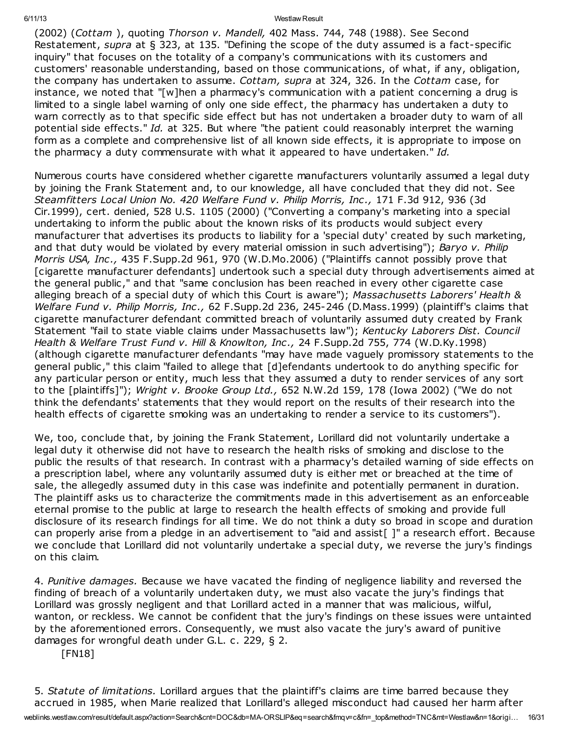(2002) (Cottam ), quoting Thorson v. Mandell, 402 Mass. 744, 748 (1988). See Second Restatement, supra at § 323, at 135. "Defining the scope of the duty assumed is a fact-specific inquiry" that focuses on the totality of a company's communications with its customers and customers' reasonable understanding, based on those communications, of what, if any, obligation, the company has undertaken to assume. Cottam, supra at 324, 326. In the Cottam case, for instance, we noted that "[w]hen a pharmacy's communication with a patient concerning a drug is limited to a single label warning of only one side effect, the pharmacy has undertaken a duty to warn correctly as to that specific side effect but has not undertaken a broader duty to warn of all potential side effects." Id. at 325. But where "the patient could reasonably interpret the warning form as a complete and comprehensive list of all known side effects, it is appropriate to impose on the pharmacy a duty commensurate with what it appeared to have undertaken." Id.

Numerous courts have considered whether cigarette manufacturers voluntarily assumed a legal duty by joining the Frank Statement and, to our knowledge, all have concluded that they did not. See Steamfitters Local Union No. 420 Welfare Fund v. Philip Morris, Inc., 171 F.3d 912, 936 (3d Cir.1999), cert. denied, 528 U.S. 1105 (2000) ("Converting a company's marketing into a special undertaking to inform the public about the known risks of its products would subject every manufacturer that advertises its products to liability for a 'special duty' created by such marketing, and that duty would be violated by every material omission in such advertising"); Baryo v. Philip Morris USA, Inc., 435 F.Supp.2d 961, 970 (W.D.Mo.2006) ("Plaintiffs cannot possibly prove that [cigarette manufacturer defendants] undertook such a special duty through advertisements aimed at the general public," and that "same conclusion has been reached in every other cigarette case alleging breach of a special duty of which this Court is aware"); Massachusetts Laborers' Health & Welfare Fund v. Philip Morris, Inc., 62 F. Supp. 2d 236, 245-246 (D. Mass. 1999) (plaintiff's claims that cigarette manufacturer defendant committed breach of voluntarily assumed duty created by Frank Statement "fail to state viable claims under Massachusetts law"); Kentucky Laborers Dist. Council Health & Welfare Trust Fund v. Hill & Knowlton, Inc., 24 F.Supp.2d 755, 774 (W.D.Ky.1998) (although cigarette manufacturer defendants "may have made vaguely promissory statements to the general public," this claim "failed to allege that [d]efendants undertook to do anything specific for any particular person or entity, much less that they assumed a duty to render services of any sort to the [plaintiffs]"); *Wright v. Brooke Group Ltd.,* 652 N.W.2d 159, 178 (Iowa 2002) ("We do not think the defendants' statements that they would report on the results of their research into the health effects of cigarette smoking was an undertaking to render a service to its customers").

We, too, conclude that, by joining the Frank Statement, Lorillard did not voluntarily undertake a legal duty it otherwise did not have to research the health risks of smoking and disclose to the public the results of that research. In contrast with a pharmacy's detailed warning of side effects on a prescription label, where any voluntarily assumed duty is either met or breached at the time of sale, the allegedly assumed duty in this case was indefinite and potentially permanent in duration. The plaintiff asks us to characterize the commitments made in this advertisement as an enforceable eternal promise to the public at large to research the health effects of smoking and provide full disclosure of its research findings for all time. We do not think a duty so broad in scope and duration can properly arise from a pledge in an advertisement to "aid and assist[ ]" a research effort. Because we conclude that Lorillard did not voluntarily undertake a special duty, we reverse the jury's findings on this claim.

4. Punitive damages. Because we have vacated the finding of negligence liability and reversed the finding of breach of a voluntarily undertaken duty, we must also vacate the jury's findings that Lorillard was grossly negligent and that Lorillard acted in a manner that was malicious, wilful, wanton, or reckless. We cannot be confident that the jury's findings on these issues were untainted by the aforementioned errors. Consequently, we must also vacate the jury's award of punitive damages for wrongful death under G.L. c. 229, § 2.

[FN18]

weblinks.westlaw.com/result/default.aspx?action=Search&cnt=DOC&db=MA-ORSLIP&eq=search&fmqv=c&fn=\_top&method=TNC&mt=Westlaw&n=1&origi... 16/31 5. Statute of limitations. Lorillard argues that the plaintiff's claims are time barred because they accrued in 1985, when Marie realized that Lorillard's alleged misconduct had caused her harm after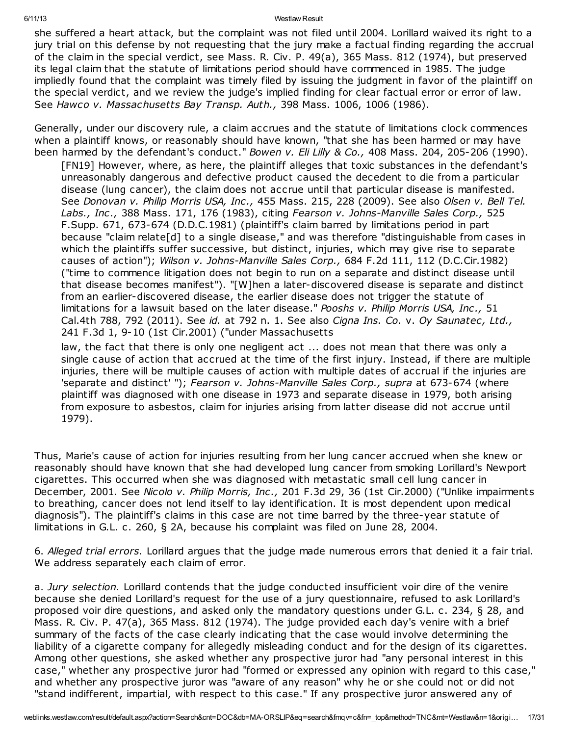she suffered a heart attack, but the complaint was not filed until 2004. Lorillard waived its right to a jury trial on this defense by not requesting that the jury make a factual finding regarding the accrual of the claim in the special verdict, see Mass. R. Civ. P. 49(a), 365 Mass. 812 (1974), but preserved its legal claim that the statute of limitations period should have commenced in 1985. The judge impliedly found that the complaint was timely filed by issuing the judgment in favor of the plaintiff on the special verdict, and we review the judge's implied finding for clear factual error or error of law. See Hawco v. Massachusetts Bay Transp. Auth., 398 Mass. 1006, 1006 (1986).

Generally, under our discovery rule, a claim accrues and the statute of limitations clock commences when a plaintiff knows, or reasonably should have known, "that she has been harmed or may have been harmed by the defendant's conduct." Bowen v. Eli Lilly & Co., 408 Mass. 204, 205-206 (1990).

[FN19] However, where, as here, the plaintiff alleges that toxic substances in the defendant's unreasonably dangerous and defective product caused the decedent to die from a particular disease (lung cancer), the claim does not accrue until that particular disease is manifested. See Donovan v. Philip Morris USA, Inc., 455 Mass. 215, 228 (2009). See also Olsen v. Bell Tel. Labs., Inc., 388 Mass. 171, 176 (1983), citing Fearson v. Johns-Manville Sales Corp., 525 F.Supp. 671, 673-674 (D.D.C.1981) (plaintiff's claim barred by limitations period in part because "claim relate[d] to a single disease," and was therefore "distinguishable from cases in which the plaintiffs suffer successive, but distinct, injuries, which may give rise to separate causes of action"); Wilson v. Johns-Manville Sales Corp., 684 F.2d 111, 112 (D.C.Cir.1982) ("time to commence litigation does not begin to run on a separate and distinct disease until that disease becomes manifest"). "[W]hen a later-discovered disease is separate and distinct from an earlier-discovered disease, the earlier disease does not trigger the statute of limitations for a lawsuit based on the later disease." Pooshs v. Philip Morris USA, Inc., 51 Cal.4th 788, 792 (2011). See id. at 792 n. 1. See also Cigna Ins. Co. v. Oy Saunatec, Ltd., 241 F.3d 1, 9-10 (1st Cir.2001) ("under Massachusetts

law, the fact that there is only one negligent act ... does not mean that there was only a single cause of action that accrued at the time of the first injury. Instead, if there are multiple injuries, there will be multiple causes of action with multiple dates of accrual if the injuries are 'separate and distinct' "); Fearson v. Johns-Manville Sales Corp., supra at 673-674 (where plaintiff was diagnosed with one disease in 1973 and separate disease in 1979, both arising from exposure to asbestos, claim for injuries arising from latter disease did not accrue until 1979).

Thus, Marie's cause of action for injuries resulting from her lung cancer accrued when she knew or reasonably should have known that she had developed lung cancer from smoking Lorillard's Newport cigarettes. This occurred when she was diagnosed with metastatic small cell lung cancer in December, 2001. See Nicolo v. Philip Morris, Inc., 201 F.3d 29, 36 (1st Cir.2000) ("Unlike impairments to breathing, cancer does not lend itself to lay identification. It is most dependent upon medical diagnosis"). The plaintiff's claims in this case are not time barred by the three-year statute of limitations in G.L. c. 260, § 2A, because his complaint was filed on June 28, 2004.

6. Alleged trial errors. Lorillard argues that the judge made numerous errors that denied it a fair trial. We address separately each claim of error.

a. Jury selection. Lorillard contends that the judge conducted insufficient voir dire of the venire because she denied Lorillard's request for the use of a jury questionnaire, refused to ask Lorillard's proposed voir dire questions, and asked only the mandatory questions under G.L. c. 234, § 28, and Mass. R. Civ. P. 47(a), 365 Mass. 812 (1974). The judge provided each day's venire with a brief summary of the facts of the case clearly indicating that the case would involve determining the liability of a cigarette company for allegedly misleading conduct and for the design of its cigarettes. Among other questions, she asked whether any prospective juror had "any personal interest in this case," whether any prospective juror had "formed or expressed any opinion with regard to this case," and whether any prospective juror was "aware of any reason" why he or she could not or did not "stand indifferent, impartial, with respect to this case." If any prospective juror answered any of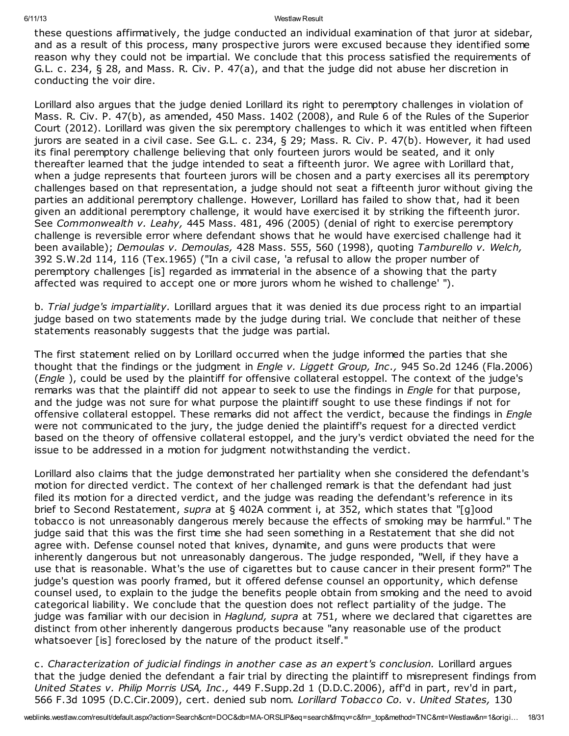these questions affirmatively, the judge conducted an individual examination of that juror at sidebar, and as a result of this process, many prospective jurors were excused because they identified some reason why they could not be impartial. We conclude that this process satisfied the requirements of G.L. c. 234, § 28, and Mass. R. Civ. P. 47(a), and that the judge did not abuse her discretion in conducting the voir dire.

Lorillard also argues that the judge denied Lorillard its right to peremptory challenges in violation of Mass. R. Civ. P. 47(b), as amended, 450 Mass. 1402 (2008), and Rule 6 of the Rules of the Superior Court (2012). Lorillard was given the six peremptory challenges to which it was entitled when fifteen jurors are seated in a civil case. See G.L. c. 234, § 29; Mass. R. Civ. P. 47(b). However, it had used its final peremptory challenge believing that only fourteen jurors would be seated, and it only thereafter learned that the judge intended to seat a fifteenth juror. We agree with Lorillard that, when a judge represents that fourteen jurors will be chosen and a party exercises all its peremptory challenges based on that representation, a judge should not seat a fifteenth juror without giving the parties an additional peremptory challenge. However, Lorillard has failed to show that, had it been given an additional peremptory challenge, it would have exercised it by striking the fifteenth juror. See Commonwealth v. Leahy, 445 Mass. 481, 496 (2005) (denial of right to exercise peremptory challenge is reversible error where defendant shows that he would have exercised challenge had it been available); Demoulas v. Demoulas, 428 Mass. 555, 560 (1998), quoting Tamburello v. Welch, 392 S.W.2d 114, 116 (Tex.1965) ("In a civil case, 'a refusal to allow the proper number of peremptory challenges [is] regarded as immaterial in the absence of a showing that the party affected was required to accept one or more jurors whom he wished to challenge' ").

b. Trial judge's impartiality. Lorillard argues that it was denied its due process right to an impartial judge based on two statements made by the judge during trial. We conclude that neither of these statements reasonably suggests that the judge was partial.

The first statement relied on by Lorillard occurred when the judge informed the parties that she thought that the findings or the judgment in *Engle v. Liggett Group, Inc.,* 945 So.2d 1246 (Fla.2006) (Engle ), could be used by the plaintiff for offensive collateral estoppel. The context of the judge's remarks was that the plaintiff did not appear to seek to use the findings in *Engle* for that purpose, and the judge was not sure for what purpose the plaintiff sought to use these findings if not for offensive collateral estoppel. These remarks did not affect the verdict, because the findings in *Engle* were not communicated to the jury, the judge denied the plaintiff's request for a directed verdict based on the theory of offensive collateral estoppel, and the jury's verdict obviated the need for the issue to be addressed in a motion for judgment notwithstanding the verdict.

Lorillard also claims that the judge demonstrated her partiality when she considered the defendant's motion for directed verdict. The context of her challenged remark is that the defendant had just filed its motion for a directed verdict, and the judge was reading the defendant's reference in its brief to Second Restatement, *supra* at § 402A comment i, at 352, which states that "[q]ood tobacco is not unreasonably dangerous merely because the effects of smoking may be harmful." The judge said that this was the first time she had seen something in a Restatement that she did not agree with. Defense counsel noted that knives, dynamite, and guns were products that were inherently dangerous but not unreasonably dangerous. The judge responded, "Well, if they have a use that is reasonable. What's the use of cigarettes but to cause cancer in their present form?" The judge's question was poorly framed, but it offered defense counsel an opportunity, which defense counsel used, to explain to the judge the benefits people obtain from smoking and the need to avoid categorical liability. We conclude that the question does not reflect partiality of the judge. The judge was familiar with our decision in *Haglund, supra* at 751, where we declared that cigarettes are distinct from other inherently dangerous products because "any reasonable use of the product whatsoever [is] foreclosed by the nature of the product itself."

c. Characterization of judicial findings in another case as an expert's conclusion. Lorillard argues that the judge denied the defendant a fair trial by directing the plaintiff to misrepresent findings from United States v. Philip Morris USA, Inc., 449 F.Supp.2d 1 (D.D.C.2006), aff'd in part, rev'd in part, 566 F.3d 1095 (D.C.Cir.2009), cert. denied sub nom. Lorillard Tobacco Co. v. United States, 130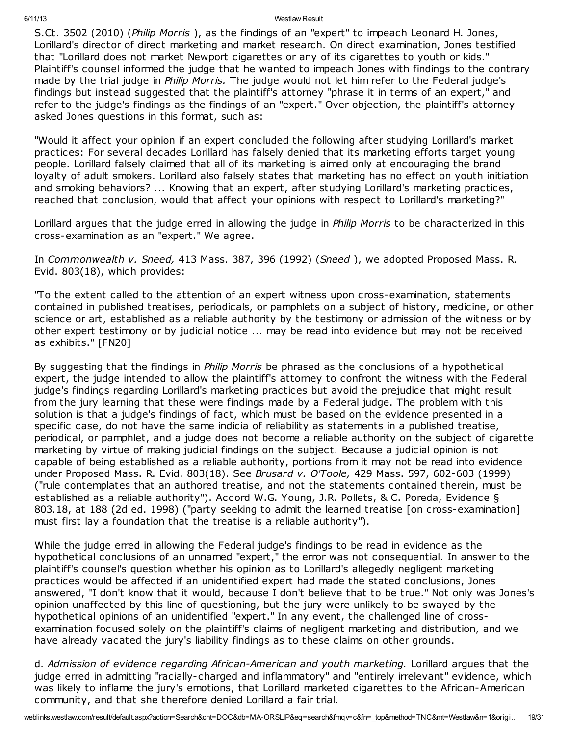S.Ct. 3502 (2010) (Philip Morris), as the findings of an "expert" to impeach Leonard H. Jones, Lorillard's director of direct marketing and market research. On direct examination, Jones testified that "Lorillard does not market Newport cigarettes or any of its cigarettes to youth or kids." Plaintiff's counsel informed the judge that he wanted to impeach Jones with findings to the contrary made by the trial judge in *Philip Morris*. The judge would not let him refer to the Federal judge's findings but instead suggested that the plaintiff's attorney "phrase it in terms of an expert," and refer to the judge's findings as the findings of an "expert." Over objection, the plaintiff's attorney asked Jones questions in this format, such as:

"Would it affect your opinion if an expert concluded the following after studying Lorillard's market practices: For several decades Lorillard has falsely denied that its marketing efforts target young people. Lorillard falsely claimed that all of its marketing is aimed only at encouraging the brand loyalty of adult smokers. Lorillard also falsely states that marketing has no effect on youth initiation and smoking behaviors? ... Knowing that an expert, after studying Lorillard's marketing practices, reached that conclusion, would that affect your opinions with respect to Lorillard's marketing?"

Lorillard argues that the judge erred in allowing the judge in *Philip Morris* to be characterized in this cross-examination as an "expert." We agree.

In Commonwealth v. Sneed, 413 Mass. 387, 396 (1992) (Sneed ), we adopted Proposed Mass. R. Evid. 803(18), which provides:

"To the extent called to the attention of an expert witness upon cross-examination, statements contained in published treatises, periodicals, or pamphlets on a subject of history, medicine, or other science or art, established as a reliable authority by the testimony or admission of the witness or by other expert testimony or by judicial notice ... may be read into evidence but may not be received as exhibits." [FN20]

By suggesting that the findings in *Philip Morris* be phrased as the conclusions of a hypothetical expert, the judge intended to allow the plaintiff's attorney to confront the witness with the Federal judge's findings regarding Lorillard's marketing practices but avoid the prejudice that might result from the jury learning that these were findings made by a Federal judge. The problem with this solution is that a judge's findings of fact, which must be based on the evidence presented in a specific case, do not have the same indicia of reliability as statements in a published treatise, periodical, or pamphlet, and a judge does not become a reliable authority on the subject of cigarette marketing by virtue of making judicial findings on the subject. Because a judicial opinion is not capable of being established as a reliable authority, portions from it may not be read into evidence under Proposed Mass. R. Evid. 803(18). See Brusard v. O'Toole, 429 Mass. 597, 602-603 (1999) ("rule contemplates that an authored treatise, and not the statements contained therein, must be established as a reliable authority"). Accord W.G. Young, J.R. Pollets, & C. Poreda, Evidence § 803.18, at 188 (2d ed. 1998) ("party seeking to admit the learned treatise [on cross-examination] must first lay a foundation that the treatise is a reliable authority").

While the judge erred in allowing the Federal judge's findings to be read in evidence as the hypothetical conclusions of an unnamed "expert," the error was not consequential. In answer to the plaintiff's counsel's question whether his opinion as to Lorillard's allegedly negligent marketing practices would be affected if an unidentified expert had made the stated conclusions, Jones answered, "I don't know that it would, because I don't believe that to be true." Not only was Jones's opinion unaffected by this line of questioning, but the jury were unlikely to be swayed by the hypothetical opinions of an unidentified "expert." In any event, the challenged line of crossexamination focused solely on the plaintiff's claims of negligent marketing and distribution, and we have already vacated the jury's liability findings as to these claims on other grounds.

d. Admission of evidence regarding African-American and youth marketing. Lorillard argues that the judge erred in admitting "racially-charged and inflammatory" and "entirely irrelevant" evidence, which was likely to inflame the jury's emotions, that Lorillard marketed cigarettes to the African-American community, and that she therefore denied Lorillard a fair trial.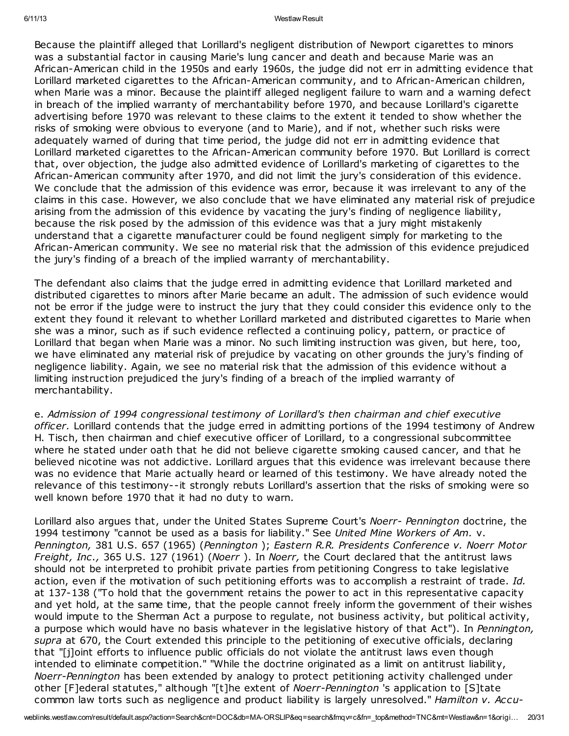Because the plaintiff alleged that Lorillard's negligent distribution of Newport cigarettes to minors was a substantial factor in causing Marie's lung cancer and death and because Marie was an African-American child in the 1950s and early 1960s, the judge did not err in admitting evidence that Lorillard marketed cigarettes to the African-American community, and to African-American children, when Marie was a minor. Because the plaintiff alleged negligent failure to warn and a warning defect in breach of the implied warranty of merchantability before 1970, and because Lorillard's cigarette advertising before 1970 was relevant to these claims to the extent it tended to show whether the risks of smoking were obvious to everyone (and to Marie), and if not, whether such risks were adequately warned of during that time period, the judge did not err in admitting evidence that Lorillard marketed cigarettes to the African-American community before 1970. But Lorillard is correct that, over objection, the judge also admitted evidence of Lorillard's marketing of cigarettes to the African-American community after 1970, and did not limit the jury's consideration of this evidence. We conclude that the admission of this evidence was error, because it was irrelevant to any of the claims in this case. However, we also conclude that we have eliminated any material risk of prejudice arising from the admission of this evidence by vacating the jury's finding of negligence liability, because the risk posed by the admission of this evidence was that a jury might mistakenly understand that a cigarette manufacturer could be found negligent simply for marketing to the African-American community. We see no material risk that the admission of this evidence prejudiced the jury's finding of a breach of the implied warranty of merchantability.

The defendant also claims that the judge erred in admitting evidence that Lorillard marketed and distributed cigarettes to minors after Marie became an adult. The admission of such evidence would not be error if the judge were to instruct the jury that they could consider this evidence only to the extent they found it relevant to whether Lorillard marketed and distributed cigarettes to Marie when she was a minor, such as if such evidence reflected a continuing policy, pattern, or practice of Lorillard that began when Marie was a minor. No such limiting instruction was given, but here, too, we have eliminated any material risk of prejudice by vacating on other grounds the jury's finding of negligence liability. Again, we see no material risk that the admission of this evidence without a limiting instruction prejudiced the jury's finding of a breach of the implied warranty of merchantability.

e. Admission of 1994 congressional testimony of Lorillard's then chairman and chief executive officer. Lorillard contends that the judge erred in admitting portions of the 1994 testimony of Andrew H. Tisch, then chairman and chief executive officer of Lorillard, to a congressional subcommittee where he stated under oath that he did not believe cigarette smoking caused cancer, and that he believed nicotine was not addictive. Lorillard argues that this evidence was irrelevant because there was no evidence that Marie actually heard or learned of this testimony. We have already noted the relevance of this testimony--it strongly rebuts Lorillard's assertion that the risks of smoking were so well known before 1970 that it had no duty to warn.

Lorillard also argues that, under the United States Supreme Court's Noerr- Pennington doctrine, the 1994 testimony "cannot be used as a basis for liability." See United Mine Workers of Am. v. Pennington, 381 U.S. 657 (1965) (Pennington ); Eastern R.R. Presidents Conference v. Noerr Motor Freight, Inc., 365 U.S. 127 (1961) (Noerr). In Noerr, the Court declared that the antitrust laws should not be interpreted to prohibit private parties from petitioning Congress to take legislative action, even if the motivation of such petitioning efforts was to accomplish a restraint of trade. Id. at 137-138 ("To hold that the government retains the power to act in this representative capacity and yet hold, at the same time, that the people cannot freely inform the government of their wishes would impute to the Sherman Act a purpose to regulate, not business activity, but political activity, a purpose which would have no basis whatever in the legislative history of that Act"). In Pennington, supra at 670, the Court extended this principle to the petitioning of executive officials, declaring that "[j]oint efforts to influence public officials do not violate the antitrust laws even though intended to eliminate competition." "While the doctrine originated as a limit on antitrust liability, Noerr-Pennington has been extended by analogy to protect petitioning activity challenged under other [F]ederal statutes," although "[t]he extent of Noerr-Pennington 's application to [S]tate common law torts such as negligence and product liability is largely unresolved." Hamilton v. Accu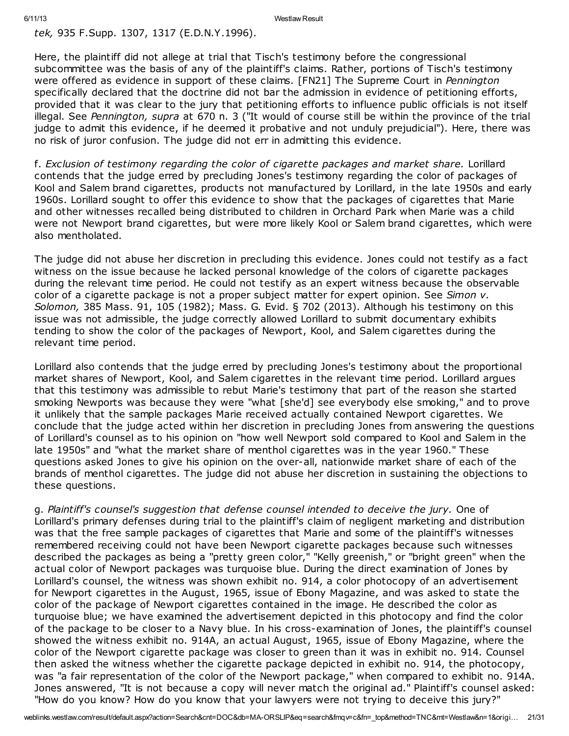tek, 935 F.Supp. 1307, 1317 (E.D.N.Y.1996).

Here, the plaintiff did not allege at trial that Tisch's testimony before the congressional subcommittee was the basis of any of the plaintiff's claims. Rather, portions of Tisch's testimony were offered as evidence in support of these claims. [FN21] The Supreme Court in *Pennington* specifically declared that the doctrine did not bar the admission in evidence of petitioning efforts, provided that it was clear to the jury that petitioning efforts to influence public officials is not itself illegal. See Pennington, supra at 670 n. 3 ("It would of course still be within the province of the trial judge to admit this evidence, if he deemed it probative and not unduly prejudicial"). Here, there was no risk of juror confusion. The judge did not err in admitting this evidence.

f. Exclusion of testimony regarding the color of cigarette packages and market share. Lorillard contends that the judge erred by precluding Jones's testimony regarding the color of packages of Kool and Salem brand cigarettes, products not manufactured by Lorillard, in the late 1950s and early 1960s. Lorillard sought to offer this evidence to show that the packages of cigarettes that Marie and other witnesses recalled being distributed to children in Orchard Park when Marie was a child were not Newport brand cigarettes, but were more likely Kool or Salem brand cigarettes, which were also mentholated.

The judge did not abuse her discretion in precluding this evidence. Jones could not testify as a fact witness on the issue because he lacked personal knowledge of the colors of cigarette packages during the relevant time period. He could not testify as an expert witness because the observable color of a cigarette package is not a proper subject matter for expert opinion. See Simon v. Solomon, 385 Mass. 91, 105 (1982); Mass. G. Evid. § 702 (2013). Although his testimony on this issue was not admissible, the judge correctly allowed Lorillard to submit documentary exhibits tending to show the color of the packages of Newport, Kool, and Salem cigarettes during the relevant time period.

Lorillard also contends that the judge erred by precluding Jones's testimony about the proportional market shares of Newport, Kool, and Salem cigarettes in the relevant time period. Lorillard argues that this testimony was admissible to rebut Marie's testimony that part of the reason she started smoking Newports was because they were "what [she'd] see everybody else smoking," and to prove it unlikely that the sample packages Marie received actually contained Newport cigarettes. We conclude that the judge acted within her discretion in precluding Jones from answering the questions of Lorillard's counsel as to his opinion on "how well Newport sold compared to Kool and Salem in the late 1950s" and "what the market share of menthol cigarettes was in the year 1960." These questions asked Jones to give his opinion on the over-all, nationwide market share of each of the brands of menthol cigarettes. The judge did not abuse her discretion in sustaining the objections to these questions.

g. Plaintiff's counsel's suggestion that defense counsel intended to deceive the jury. One of Lorillard's primary defenses during trial to the plaintiff's claim of negligent marketing and distribution was that the free sample packages of cigarettes that Marie and some of the plaintiff's witnesses remembered receiving could not have been Newport cigarette packages because such witnesses described the packages as being a "pretty green color," "Kelly greenish," or "bright green" when the actual color of Newport packages was turquoise blue. During the direct examination of Jones by Lorillard's counsel, the witness was shown exhibit no. 914, a color photocopy of an advertisement for Newport cigarettes in the August, 1965, issue of Ebony Magazine, and was asked to state the color of the package of Newport cigarettes contained in the image. He described the color as turquoise blue; we have examined the advertisement depicted in this photocopy and find the color of the package to be closer to a Navy blue. In his cross-examination of Jones, the plaintiff's counsel showed the witness exhibit no. 914A, an actual August, 1965, issue of Ebony Magazine, where the color of the Newport cigarette package was closer to green than it was in exhibit no. 914. Counsel then asked the witness whether the cigarette package depicted in exhibit no. 914, the photocopy, was "a fair representation of the color of the Newport package," when compared to exhibit no. 914A. Jones answered, "It is not because a copy will never match the original ad." Plaintiff's counsel asked: "How do you know? How do you know that your lawyers were not trying to deceive this jury?"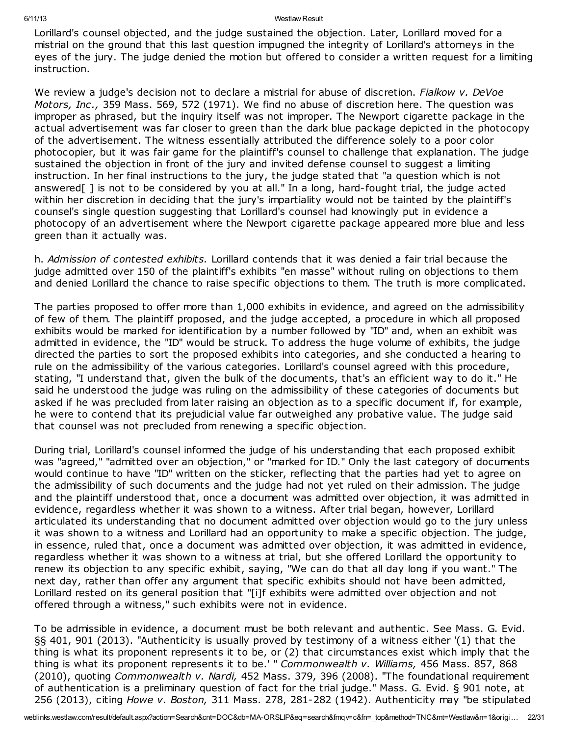Lorillard's counsel objected, and the judge sustained the objection. Later, Lorillard moved for a mistrial on the ground that this last question impugned the integrity of Lorillard's attorneys in the eyes of the jury. The judge denied the motion but offered to consider a written request for a limiting instruction.

We review a judge's decision not to declare a mistrial for abuse of discretion. Fialkow v. DeVoe Motors, Inc., 359 Mass. 569, 572 (1971). We find no abuse of discretion here. The question was improper as phrased, but the inquiry itself was not improper. The Newport cigarette package in the actual advertisement was far closer to green than the dark blue package depicted in the photocopy of the advertisement. The witness essentially attributed the difference solely to a poor color photocopier, but it was fair game for the plaintiff's counsel to challenge that explanation. The judge sustained the objection in front of the jury and invited defense counsel to suggest a limiting instruction. In her final instructions to the jury, the judge stated that "a question which is not answered[ ] is not to be considered by you at all." In a long, hard-fought trial, the judge acted within her discretion in deciding that the jury's impartiality would not be tainted by the plaintiff's counsel's single question suggesting that Lorillard's counsel had knowingly put in evidence a photocopy of an advertisement where the Newport cigarette package appeared more blue and less green than it actually was.

h. Admission of contested exhibits. Lorillard contends that it was denied a fair trial because the judge admitted over 150 of the plaintiff's exhibits "en masse" without ruling on objections to them and denied Lorillard the chance to raise specific objections to them. The truth is more complicated.

The parties proposed to offer more than 1,000 exhibits in evidence, and agreed on the admissibility of few of them. The plaintiff proposed, and the judge accepted, a procedure in which all proposed exhibits would be marked for identification by a number followed by "ID" and, when an exhibit was admitted in evidence, the "ID" would be struck. To address the huge volume of exhibits, the judge directed the parties to sort the proposed exhibits into categories, and she conducted a hearing to rule on the admissibility of the various categories. Lorillard's counsel agreed with this procedure, stating, "I understand that, given the bulk of the documents, that's an efficient way to do it." He said he understood the judge was ruling on the admissibility of these categories of documents but asked if he was precluded from later raising an objection as to a specific document if, for example, he were to contend that its prejudicial value far outweighed any probative value. The judge said that counsel was not precluded from renewing a specific objection.

During trial, Lorillard's counsel informed the judge of his understanding that each proposed exhibit was "agreed," "admitted over an objection," or "marked for ID." Only the last category of documents would continue to have "ID" written on the sticker, reflecting that the parties had yet to agree on the admissibility of such documents and the judge had not yet ruled on their admission. The judge and the plaintiff understood that, once a document was admitted over objection, it was admitted in evidence, regardless whether it was shown to a witness. After trial began, however, Lorillard articulated its understanding that no document admitted over objection would go to the jury unless it was shown to a witness and Lorillard had an opportunity to make a specific objection. The judge, in essence, ruled that, once a document was admitted over objection, it was admitted in evidence, regardless whether it was shown to a witness at trial, but she offered Lorillard the opportunity to renew its objection to any specific exhibit, saying, "We can do that all day long if you want." The next day, rather than offer any argument that specific exhibits should not have been admitted, Lorillard rested on its general position that "[i]f exhibits were admitted over objection and not offered through a witness," such exhibits were not in evidence.

To be admissible in evidence, a document must be both relevant and authentic. See Mass. G. Evid. §§ 401, 901 (2013). "Authenticity is usually proved by testimony of a witness either '(1) that the thing is what its proponent represents it to be, or (2) that circumstances exist which imply that the thing is what its proponent represents it to be.' " Commonwealth v. Williams, 456 Mass. 857, 868 (2010), quoting Commonwealth v. Nardi, 452 Mass. 379, 396 (2008). "The foundational requirement of authentication is a preliminary question of fact for the trial judge." Mass. G. Evid. § 901 note, at 256 (2013), citing Howe v. Boston, 311 Mass. 278, 281-282 (1942). Authenticity may "be stipulated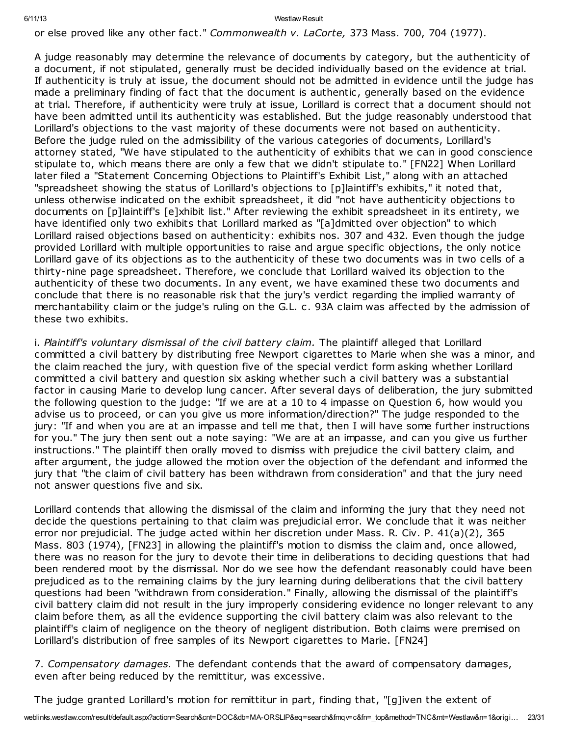or else proved like any other fact." Commonwealth v. LaCorte, 373 Mass. 700, 704 (1977).

A judge reasonably may determine the relevance of documents by category, but the authenticity of a document, if not stipulated, generally must be decided individually based on the evidence at trial. If authenticity is truly at issue, the document should not be admitted in evidence until the judge has made a preliminary finding of fact that the document is authentic, generally based on the evidence at trial. Therefore, if authenticity were truly at issue, Lorillard is correct that a document should not have been admitted until its authenticity was established. But the judge reasonably understood that Lorillard's objections to the vast majority of these documents were not based on authenticity. Before the judge ruled on the admissibility of the various categories of documents, Lorillard's attorney stated, "We have stipulated to the authenticity of exhibits that we can in good conscience stipulate to, which means there are only a few that we didn't stipulate to." [FN22] When Lorillard later filed a "Statement Concerning Objections to Plaintiff's Exhibit List," along with an attached "spreadsheet showing the status of Lorillard's objections to [p]laintiff's exhibits," it noted that, unless otherwise indicated on the exhibit spreadsheet, it did "not have authenticity objections to documents on [p]laintiff's [e]xhibit list." After reviewing the exhibit spreadsheet in its entirety, we have identified only two exhibits that Lorillard marked as "[a]dmitted over objection" to which Lorillard raised objections based on authenticity: exhibits nos. 307 and 432. Even though the judge provided Lorillard with multiple opportunities to raise and argue specific objections, the only notice Lorillard gave of its objections as to the authenticity of these two documents was in two cells of a thirty-nine page spreadsheet. Therefore, we conclude that Lorillard waived its objection to the authenticity of these two documents. In any event, we have examined these two documents and conclude that there is no reasonable risk that the jury's verdict regarding the implied warranty of merchantability claim or the judge's ruling on the G.L. c. 93A claim was affected by the admission of these two exhibits.

i. Plaintiff's voluntary dismissal of the civil battery claim. The plaintiff alleged that Lorillard committed a civil battery by distributing free Newport cigarettes to Marie when she was a minor, and the claim reached the jury, with question five of the special verdict form asking whether Lorillard committed a civil battery and question six asking whether such a civil battery was a substantial factor in causing Marie to develop lung cancer. After several days of deliberation, the jury submitted the following question to the judge: "If we are at a 10 to 4 impasse on Question 6, how would you advise us to proceed, or can you give us more information/direction?" The judge responded to the jury: "If and when you are at an impasse and tell me that, then I will have some further instructions for you." The jury then sent out a note saying: "We are at an impasse, and can you give us further instructions." The plaintiff then orally moved to dismiss with prejudice the civil battery claim, and after argument, the judge allowed the motion over the objection of the defendant and informed the jury that "the claim of civil battery has been withdrawn from consideration" and that the jury need not answer questions five and six.

Lorillard contends that allowing the dismissal of the claim and informing the jury that they need not decide the questions pertaining to that claim was prejudicial error. We conclude that it was neither error nor prejudicial. The judge acted within her discretion under Mass. R. Civ. P. 41(a)(2), 365 Mass. 803 (1974), [FN23] in allowing the plaintiff's motion to dismiss the claim and, once allowed, there was no reason for the jury to devote their time in deliberations to deciding questions that had been rendered moot by the dismissal. Nor do we see how the defendant reasonably could have been prejudiced as to the remaining claims by the jury learning during deliberations that the civil battery questions had been "withdrawn from consideration." Finally, allowing the dismissal of the plaintiff's civil battery claim did not result in the jury improperly considering evidence no longer relevant to any claim before them, as all the evidence supporting the civil battery claim was also relevant to the plaintiff's claim of negligence on the theory of negligent distribution. Both claims were premised on Lorillard's distribution of free samples of its Newport cigarettes to Marie. [FN24]

7. Compensatory damages. The defendant contends that the award of compensatory damages, even after being reduced by the remittitur, was excessive.

The judge granted Lorillard's motion for remittitur in part, finding that, "[g]iven the extent of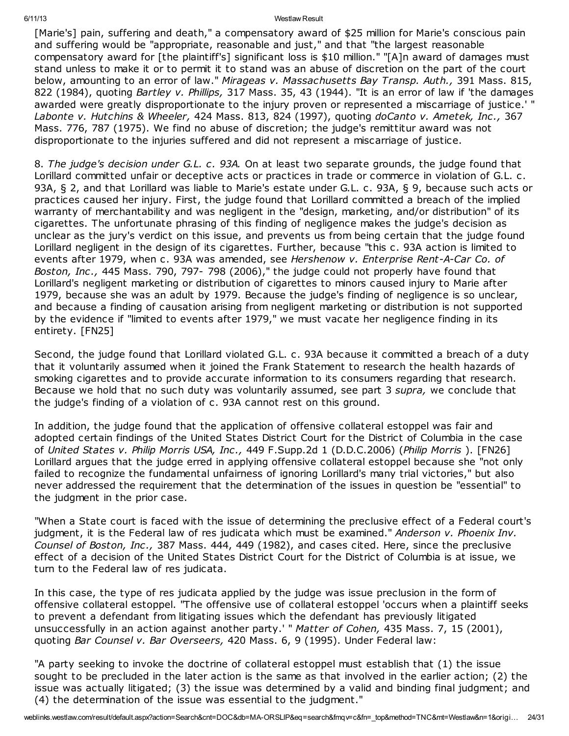[Marie's] pain, suffering and death," a compensatory award of \$25 million for Marie's conscious pain and suffering would be "appropriate, reasonable and just," and that "the largest reasonable compensatory award for [the plaintiff's] significant loss is \$10 million." "[A]n award of damages must stand unless to make it or to permit it to stand was an abuse of discretion on the part of the court below, amounting to an error of law." Mirageas v. Massachusetts Bay Transp. Auth., 391 Mass. 815, 822 (1984), quoting Bartley v. Phillips, 317 Mass. 35, 43 (1944). "It is an error of law if 'the damages awarded were greatly disproportionate to the injury proven or represented a miscarriage of justice.' " Labonte v. Hutchins & Wheeler, 424 Mass. 813, 824 (1997), quoting doCanto v. Ametek, Inc., 367 Mass. 776, 787 (1975). We find no abuse of discretion; the judge's remittitur award was not disproportionate to the injuries suffered and did not represent a miscarriage of justice.

8. The judge's decision under G.L. c. 93A. On at least two separate grounds, the judge found that Lorillard committed unfair or deceptive acts or practices in trade or commerce in violation of G.L. c. 93A, § 2, and that Lorillard was liable to Marie's estate under G.L. c. 93A, § 9, because such acts or practices caused her injury. First, the judge found that Lorillard committed a breach of the implied warranty of merchantability and was negligent in the "design, marketing, and/or distribution" of its cigarettes. The unfortunate phrasing of this finding of negligence makes the judge's decision as unclear as the jury's verdict on this issue, and prevents us from being certain that the judge found Lorillard negligent in the design of its cigarettes. Further, because "this c. 93A action is limited to events after 1979, when c. 93A was amended, see Hershenow v. Enterprise Rent-A-Car Co. of Boston, Inc., 445 Mass. 790, 797- 798 (2006)," the judge could not properly have found that Lorillard's negligent marketing or distribution of cigarettes to minors caused injury to Marie after 1979, because she was an adult by 1979. Because the judge's finding of negligence is so unclear, and because a finding of causation arising from negligent marketing or distribution is not supported by the evidence if "limited to events after 1979," we must vacate her negligence finding in its entirety. [FN25]

Second, the judge found that Lorillard violated G.L. c. 93A because it committed a breach of a duty that it voluntarily assumed when it joined the Frank Statement to research the health hazards of smoking cigarettes and to provide accurate information to its consumers regarding that research. Because we hold that no such duty was voluntarily assumed, see part 3 supra, we conclude that the judge's finding of a violation of c. 93A cannot rest on this ground.

In addition, the judge found that the application of offensive collateral estoppel was fair and adopted certain findings of the United States District Court for the District of Columbia in the case of United States v. Philip Morris USA, Inc., 449 F.Supp.2d 1 (D.D.C.2006) (Philip Morris ). [FN26] Lorillard argues that the judge erred in applying offensive collateral estoppel because she "not only failed to recognize the fundamental unfairness of ignoring Lorillard's many trial victories," but also never addressed the requirement that the determination of the issues in question be "essential" to the judgment in the prior case.

"When a State court is faced with the issue of determining the preclusive effect of a Federal court's judgment, it is the Federal law of res judicata which must be examined." Anderson v. Phoenix Inv. Counsel of Boston, Inc., 387 Mass. 444, 449 (1982), and cases cited. Here, since the preclusive effect of a decision of the United States District Court for the District of Columbia is at issue, we turn to the Federal law of res judicata.

In this case, the type of res judicata applied by the judge was issue preclusion in the form of offensive collateral estoppel. "The offensive use of collateral estoppel 'occurs when a plaintiff seeks to prevent a defendant from litigating issues which the defendant has previously litigated unsuccessfully in an action against another party.' " Matter of Cohen, 435 Mass. 7, 15 (2001), quoting Bar Counsel v. Bar Overseers, 420 Mass. 6, 9 (1995). Under Federal law:

"A party seeking to invoke the doctrine of collateral estoppel must establish that (1) the issue sought to be precluded in the later action is the same as that involved in the earlier action; (2) the issue was actually litigated; (3) the issue was determined by a valid and binding final judgment; and (4) the determination of the issue was essential to the judgment."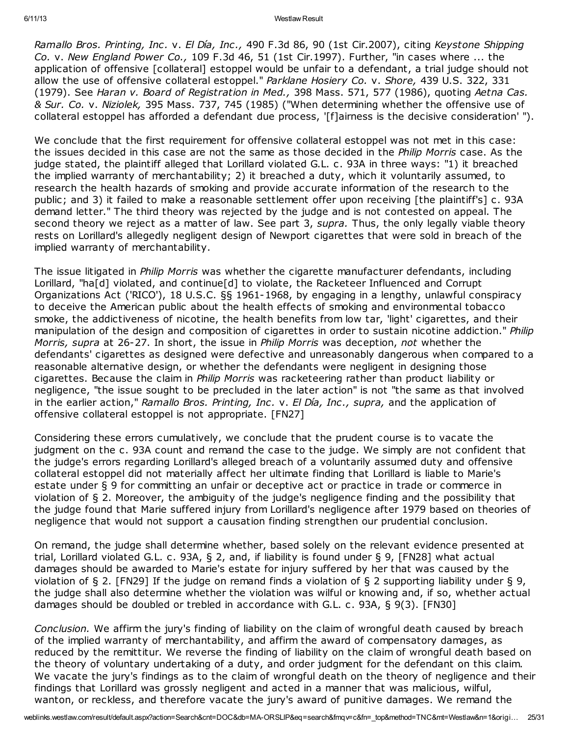Ramallo Bros. Printing, Inc. v. El Día, Inc., 490 F.3d 86, 90 (1st Cir.2007), citing Keystone Shipping Co. v. New England Power Co., 109 F.3d 46, 51 (1st Cir.1997). Further, "in cases where ... the application of offensive [collateral] estoppel would be unfair to a defendant, a trial judge should not allow the use of offensive collateral estoppel." Parklane Hosiery Co. v. Shore, 439 U.S. 322, 331 (1979). See Haran v. Board of Registration in Med., 398 Mass. 571, 577 (1986), quoting Aetna Cas. & Sur. Co. v. Niziolek, 395 Mass. 737, 745 (1985) ("When determining whether the offensive use of collateral estoppel has afforded a defendant due process, '[f]airness is the decisive consideration' ").

We conclude that the first requirement for offensive collateral estoppel was not met in this case: the issues decided in this case are not the same as those decided in the *Philip Morris* case. As the judge stated, the plaintiff alleged that Lorillard violated G.L. c. 93A in three ways: "1) it breached the implied warranty of merchantability; 2) it breached a duty, which it voluntarily assumed, to research the health hazards of smoking and provide accurate information of the research to the public; and 3) it failed to make a reasonable settlement offer upon receiving [the plaintiff's] c. 93A demand letter." The third theory was rejected by the judge and is not contested on appeal. The second theory we reject as a matter of law. See part 3, supra. Thus, the only legally viable theory rests on Lorillard's allegedly negligent design of Newport cigarettes that were sold in breach of the implied warranty of merchantability.

The issue litigated in Philip Morris was whether the cigarette manufacturer defendants, including Lorillard, "ha[d] violated, and continue[d] to violate, the Racketeer Influenced and Corrupt Organizations Act ('RICO'), 18 U.S.C. §§ 1961-1968, by engaging in a lengthy, unlawful conspiracy to deceive the American public about the health effects of smoking and environmental tobacco smoke, the addictiveness of nicotine, the health benefits from low tar, 'light' cigarettes, and their manipulation of the design and composition of cigarettes in order to sustain nicotine addiction." Philip Morris, supra at 26-27. In short, the issue in Philip Morris was deception, not whether the defendants' cigarettes as designed were defective and unreasonably dangerous when compared to a reasonable alternative design, or whether the defendants were negligent in designing those cigarettes. Because the claim in Philip Morris was racketeering rather than product liability or negligence, "the issue sought to be precluded in the later action" is not "the same as that involved in the earlier action," Ramallo Bros. Printing, Inc. v. El Día, Inc., supra, and the application of offensive collateral estoppel is not appropriate. [FN27]

Considering these errors cumulatively, we conclude that the prudent course is to vacate the judgment on the c. 93A count and remand the case to the judge. We simply are not confident that the judge's errors regarding Lorillard's alleged breach of a voluntarily assumed duty and offensive collateral estoppel did not materially affect her ultimate finding that Lorillard is liable to Marie's estate under § 9 for committing an unfair or deceptive act or practice in trade or commerce in violation of § 2. Moreover, the ambiguity of the judge's negligence finding and the possibility that the judge found that Marie suffered injury from Lorillard's negligence after 1979 based on theories of negligence that would not support a causation finding strengthen our prudential conclusion.

On remand, the judge shall determine whether, based solely on the relevant evidence presented at trial, Lorillard violated G.L. c. 93A, § 2, and, if liability is found under § 9, [FN28] what actual damages should be awarded to Marie's estate for injury suffered by her that was caused by the violation of § 2. [FN29] If the judge on remand finds a violation of § 2 supporting liability under § 9, the judge shall also determine whether the violation was wilful or knowing and, if so, whether actual damages should be doubled or trebled in accordance with G.L. c. 93A, § 9(3). [FN30]

Conclusion. We affirm the jury's finding of liability on the claim of wrongful death caused by breach of the implied warranty of merchantability, and affirm the award of compensatory damages, as reduced by the remittitur. We reverse the finding of liability on the claim of wrongful death based on the theory of voluntary undertaking of a duty, and order judgment for the defendant on this claim. We vacate the jury's findings as to the claim of wrongful death on the theory of negligence and their findings that Lorillard was grossly negligent and acted in a manner that was malicious, wilful, wanton, or reckless, and therefore vacate the jury's award of punitive damages. We remand the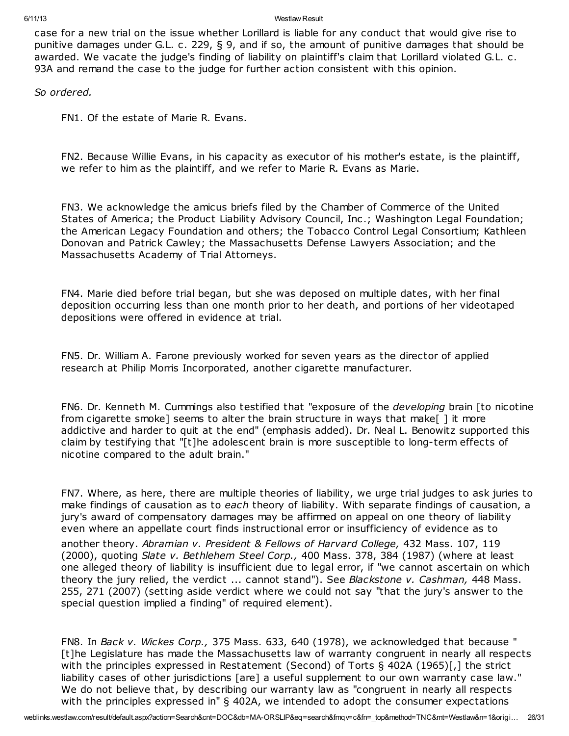case for a new trial on the issue whether Lorillard is liable for any conduct that would give rise to punitive damages under G.L. c. 229, § 9, and if so, the amount of punitive damages that should be awarded. We vacate the judge's finding of liability on plaintiff's claim that Lorillard violated G.L. c. 93A and remand the case to the judge for further action consistent with this opinion.

So ordered.

FN1. Of the estate of Marie R. Evans.

FN2. Because Willie Evans, in his capacity as executor of his mother's estate, is the plaintiff, we refer to him as the plaintiff, and we refer to Marie R. Evans as Marie.

FN3. We acknowledge the amicus briefs filed by the Chamber of Commerce of the United States of America; the Product Liability Advisory Council, Inc.; Washington Legal Foundation; the American Legacy Foundation and others; the Tobacco Control Legal Consortium; Kathleen Donovan and Patrick Cawley; the Massachusetts Defense Lawyers Association; and the Massachusetts Academy of Trial Attorneys.

FN4. Marie died before trial began, but she was deposed on multiple dates, with her final deposition occurring less than one month prior to her death, and portions of her videotaped depositions were offered in evidence at trial.

FN5. Dr. William A. Farone previously worked for seven years as the director of applied research at Philip Morris Incorporated, another cigarette manufacturer.

FN6. Dr. Kenneth M. Cummings also testified that "exposure of the *developing* brain [to nicotine from cigarette smoke] seems to alter the brain structure in ways that make[ ] it more addictive and harder to quit at the end" (emphasis added). Dr. Neal L. Benowitz supported this claim by testifying that "[t]he adolescent brain is more susceptible to long-term effects of nicotine compared to the adult brain."

FN7. Where, as here, there are multiple theories of liability, we urge trial judges to ask juries to make findings of causation as to each theory of liability. With separate findings of causation, a jury's award of compensatory damages may be affirmed on appeal on one theory of liability even where an appellate court finds instructional error or insufficiency of evidence as to another theory. Abramian v. President & Fellows of Harvard College, 432 Mass. 107, 119 (2000), quoting Slate v. Bethlehem Steel Corp., 400 Mass. 378, 384 (1987) (where at least one alleged theory of liability is insufficient due to legal error, if "we cannot ascertain on which theory the jury relied, the verdict ... cannot stand"). See Blackstone v. Cashman, 448 Mass. 255, 271 (2007) (setting aside verdict where we could not say "that the jury's answer to the special question implied a finding" of required element).

FN8. In Back v. Wickes Corp., 375 Mass. 633, 640 (1978), we acknowledged that because " [t]he Legislature has made the Massachusetts law of warranty congruent in nearly all respects with the principles expressed in Restatement (Second) of Torts § 402A (1965)[,] the strict liability cases of other jurisdictions [are] a useful supplement to our own warranty case law." We do not believe that, by describing our warranty law as "congruent in nearly all respects with the principles expressed in" § 402A, we intended to adopt the consumer expectations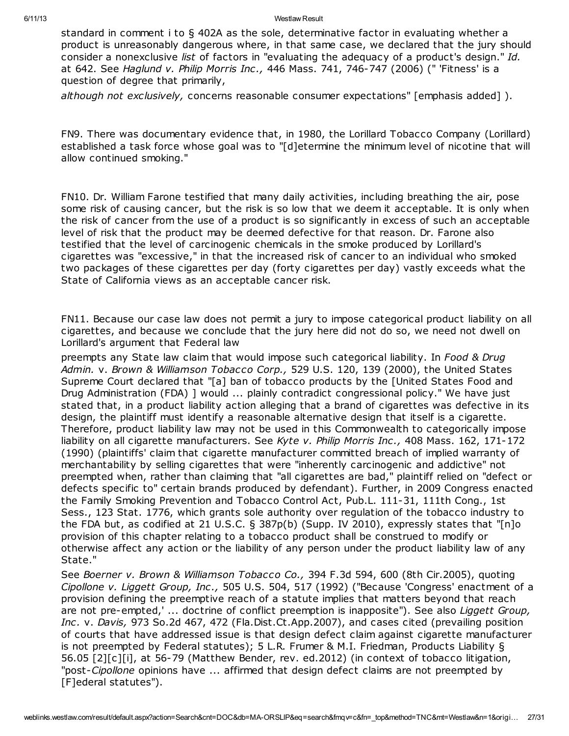standard in comment i to § 402A as the sole, determinative factor in evaluating whether a product is unreasonably dangerous where, in that same case, we declared that the jury should consider a nonexclusive *list* of factors in "evaluating the adequacy of a product's design." Id. at 642. See Haglund v. Philip Morris Inc., 446 Mass. 741, 746-747 (2006) (" 'Fitness' is a question of degree that primarily,

although not exclusively, concerns reasonable consumer expectations" [emphasis added]).

FN9. There was documentary evidence that, in 1980, the Lorillard Tobacco Company (Lorillard) established a task force whose goal was to "[d]etermine the minimum level of nicotine that will allow continued smoking."

FN10. Dr. William Farone testified that many daily activities, including breathing the air, pose some risk of causing cancer, but the risk is so low that we deem it acceptable. It is only when the risk of cancer from the use of a product is so significantly in excess of such an acceptable level of risk that the product may be deemed defective for that reason. Dr. Farone also testified that the level of carcinogenic chemicals in the smoke produced by Lorillard's cigarettes was "excessive," in that the increased risk of cancer to an individual who smoked two packages of these cigarettes per day (forty cigarettes per day) vastly exceeds what the State of California views as an acceptable cancer risk.

FN11. Because our case law does not permit a jury to impose categorical product liability on all cigarettes, and because we conclude that the jury here did not do so, we need not dwell on Lorillard's argument that Federal law

preempts any State law claim that would impose such categorical liability. In Food & Drug Admin. v. Brown & Williamson Tobacco Corp., 529 U.S. 120, 139 (2000), the United States Supreme Court declared that "[a] ban of tobacco products by the [United States Food and Drug Administration (FDA) ] would ... plainly contradict congressional policy." We have just stated that, in a product liability action alleging that a brand of cigarettes was defective in its design, the plaintiff must identify a reasonable alternative design that itself is a cigarette. Therefore, product liability law may not be used in this Commonwealth to categorically impose liability on all cigarette manufacturers. See Kyte v. Philip Morris Inc., 408 Mass. 162, 171-172 (1990) (plaintiffs' claim that cigarette manufacturer committed breach of implied warranty of merchantability by selling cigarettes that were "inherently carcinogenic and addictive" not preempted when, rather than claiming that "all cigarettes are bad," plaintiff relied on "defect or defects specific to" certain brands produced by defendant). Further, in 2009 Congress enacted the Family Smoking Prevention and Tobacco Control Act, Pub.L. 111-31, 111th Cong., 1st Sess., 123 Stat. 1776, which grants sole authority over regulation of the tobacco industry to the FDA but, as codified at 21 U.S.C. § 387p(b) (Supp. IV 2010), expressly states that "[n]o provision of this chapter relating to a tobacco product shall be construed to modify or otherwise affect any action or the liability of any person under the product liability law of any State."

See Boerner v. Brown & Williamson Tobacco Co., 394 F.3d 594, 600 (8th Cir.2005), quoting Cipollone v. Liggett Group, Inc., 505 U.S. 504, 517 (1992) ("Because 'Congress' enactment of a provision defining the preemptive reach of a statute implies that matters beyond that reach are not pre-empted,'... doctrine of conflict preemption is inapposite"). See also Liggett Group, Inc. v. Davis, 973 So.2d 467, 472 (Fla.Dist.Ct.App.2007), and cases cited (prevailing position of courts that have addressed issue is that design defect claim against cigarette manufacturer is not preempted by Federal statutes); 5 L.R. Frumer & M.I. Friedman, Products Liability § 56.05 [2][c][i], at 56-79 (Matthew Bender, rev. ed.2012) (in context of tobacco litigation, "post-Cipollone opinions have ... affirmed that design defect claims are not preempted by [F]ederal statutes").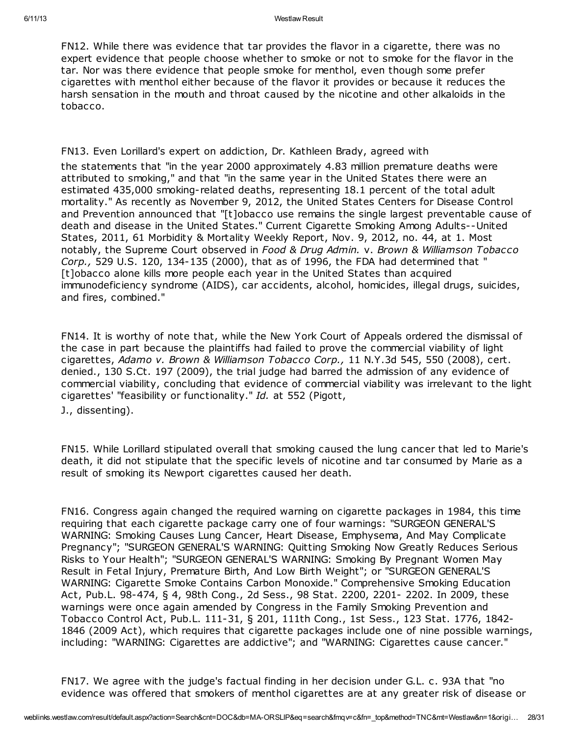FN12. While there was evidence that tar provides the flavor in a cigarette, there was no expert evidence that people choose whether to smoke or not to smoke for the flavor in the tar. Nor was there evidence that people smoke for menthol, even though some prefer cigarettes with menthol either because of the flavor it provides or because it reduces the harsh sensation in the mouth and throat caused by the nicotine and other alkaloids in the tobacco.

# FN13. Even Lorillard's expert on addiction, Dr. Kathleen Brady, agreed with

the statements that "in the year 2000 approximately 4.83 million premature deaths were attributed to smoking," and that "in the same year in the United States there were an estimated 435,000 smoking-related deaths, representing 18.1 percent of the total adult mortality." As recently as November 9, 2012, the United States Centers for Disease Control and Prevention announced that "[t]obacco use remains the single largest preventable cause of death and disease in the United States." Current Cigarette Smoking Among Adults--United States, 2011, 61 Morbidity & Mortality Weekly Report, Nov. 9, 2012, no. 44, at 1. Most notably, the Supreme Court observed in Food & Drug Admin. v. Brown & Williamson Tobacco Corp., 529 U.S. 120, 134-135 (2000), that as of 1996, the FDA had determined that " [t]obacco alone kills more people each year in the United States than acquired immunodeficiency syndrome (AIDS), car accidents, alcohol, homicides, illegal drugs, suicides, and fires, combined."

FN14. It is worthy of note that, while the New York Court of Appeals ordered the dismissal of the case in part because the plaintiffs had failed to prove the commercial viability of light cigarettes, Adamo v. Brown & Williamson Tobacco Corp., 11 N.Y.3d 545, 550 (2008), cert. denied., 130 S.Ct. 197 (2009), the trial judge had barred the admission of any evidence of commercial viability, concluding that evidence of commercial viability was irrelevant to the light cigarettes' "feasibility or functionality." Id. at 552 (Pigott,

J., dissenting).

FN15. While Lorillard stipulated overall that smoking caused the lung cancer that led to Marie's death, it did not stipulate that the specific levels of nicotine and tar consumed by Marie as a result of smoking its Newport cigarettes caused her death.

FN16. Congress again changed the required warning on cigarette packages in 1984, this time requiring that each cigarette package carry one of four warnings: "SURGEON GENERAL'S WARNING: Smoking Causes Lung Cancer, Heart Disease, Emphysema, And May Complicate Pregnancy"; "SURGEON GENERAL'S WARNING: Quitting Smoking Now Greatly Reduces Serious Risks to Your Health"; "SURGEON GENERAL'S WARNING: Smoking By Pregnant Women May Result in Fetal Injury, Premature Birth, And Low Birth Weight"; or "SURGEON GENERAL'S WARNING: Cigarette Smoke Contains Carbon Monoxide." Comprehensive Smoking Education Act, Pub.L. 98-474, § 4, 98th Cong., 2d Sess., 98 Stat. 2200, 2201- 2202. In 2009, these warnings were once again amended by Congress in the Family Smoking Prevention and Tobacco Control Act, Pub.L. 111-31, § 201, 111th Cong., 1st Sess., 123 Stat. 1776, 1842- 1846 (2009 Act), which requires that cigarette packages include one of nine possible warnings, including: "WARNING: Cigarettes are addictive"; and "WARNING: Cigarettes cause cancer."

FN17. We agree with the judge's factual finding in her decision under G.L. c. 93A that "no evidence was offered that smokers of menthol cigarettes are at any greater risk of disease or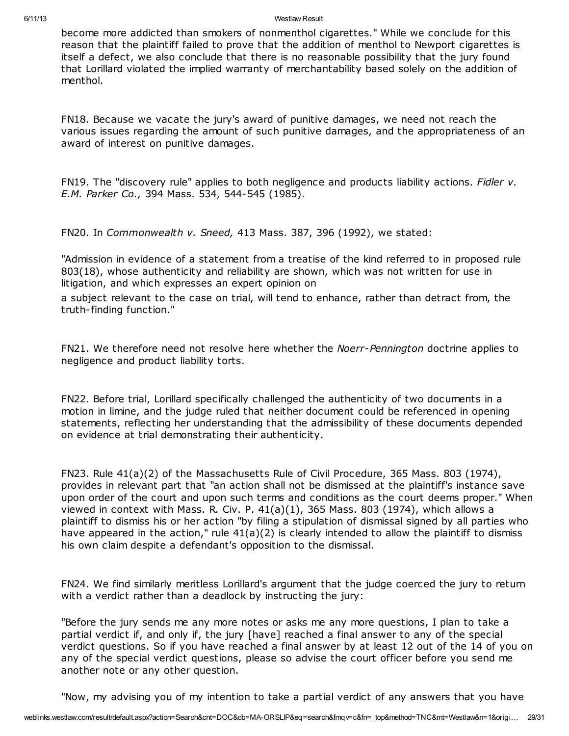become more addicted than smokers of nonmenthol cigarettes." While we conclude for this reason that the plaintiff failed to prove that the addition of menthol to Newport cigarettes is itself a defect, we also conclude that there is no reasonable possibility that the jury found that Lorillard violated the implied warranty of merchantability based solely on the addition of menthol.

FN18. Because we vacate the jury's award of punitive damages, we need not reach the various issues regarding the amount of such punitive damages, and the appropriateness of an award of interest on punitive damages.

FN19. The "discovery rule" applies to both negligence and products liability actions. Fidler v. E.M. Parker Co., 394 Mass. 534, 544-545 (1985).

FN20. In Commonwealth v. Sneed, 413 Mass. 387, 396 (1992), we stated:

"Admission in evidence of a statement from a treatise of the kind referred to in proposed rule 803(18), whose authenticity and reliability are shown, which was not written for use in litigation, and which expresses an expert opinion on

a subject relevant to the case on trial, will tend to enhance, rather than detract from, the truth-finding function."

FN21. We therefore need not resolve here whether the Noerr-Pennington doctrine applies to negligence and product liability torts.

FN22. Before trial, Lorillard specifically challenged the authenticity of two documents in a motion in limine, and the judge ruled that neither document could be referenced in opening statements, reflecting her understanding that the admissibility of these documents depended on evidence at trial demonstrating their authenticity.

FN23. Rule 41(a)(2) of the Massachusetts Rule of Civil Procedure, 365 Mass. 803 (1974), provides in relevant part that "an action shall not be dismissed at the plaintiff's instance save upon order of the court and upon such terms and conditions as the court deems proper." When viewed in context with Mass. R. Civ. P.  $41(a)(1)$ , 365 Mass. 803 (1974), which allows a plaintiff to dismiss his or her action "by filing a stipulation of dismissal signed by all parties who have appeared in the action," rule  $41(a)(2)$  is clearly intended to allow the plaintiff to dismiss his own claim despite a defendant's opposition to the dismissal.

FN24. We find similarly meritless Lorillard's argument that the judge coerced the jury to return with a verdict rather than a deadlock by instructing the jury:

"Before the jury sends me any more notes or asks me any more questions, I plan to take a partial verdict if, and only if, the jury [have] reached a final answer to any of the special verdict questions. So if you have reached a final answer by at least 12 out of the 14 of you on any of the special verdict questions, please so advise the court officer before you send me another note or any other question.

"Now, my advising you of my intention to take a partial verdict of any answers that you have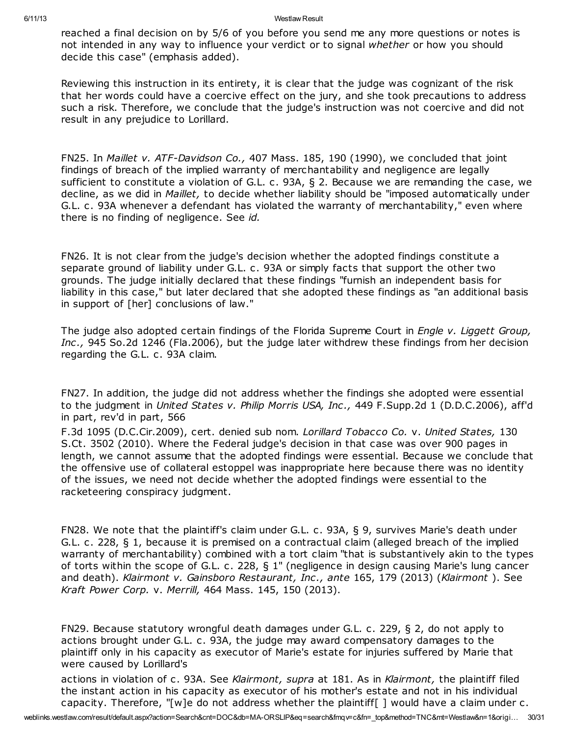reached a final decision on by 5/6 of you before you send me any more questions or notes is not intended in any way to influence your verdict or to signal whether or how you should decide this case" (emphasis added).

Reviewing this instruction in its entirety, it is clear that the judge was cognizant of the risk that her words could have a coercive effect on the jury, and she took precautions to address such a risk. Therefore, we conclude that the judge's instruction was not coercive and did not result in any prejudice to Lorillard.

FN25. In Maillet v. ATF-Davidson Co., 407 Mass. 185, 190 (1990), we concluded that joint findings of breach of the implied warranty of merchantability and negligence are legally sufficient to constitute a violation of G.L. c. 93A, § 2. Because we are remanding the case, we decline, as we did in *Maillet*, to decide whether liability should be "imposed automatically under G.L. c. 93A whenever a defendant has violated the warranty of merchantability," even where there is no finding of negligence. See id.

FN26. It is not clear from the judge's decision whether the adopted findings constitute a separate ground of liability under G.L. c. 93A or simply facts that support the other two grounds. The judge initially declared that these findings "furnish an independent basis for liability in this case," but later declared that she adopted these findings as "an additional basis in support of [her] conclusions of law."

The judge also adopted certain findings of the Florida Supreme Court in *Engle v. Liggett Group*, Inc., 945 So.2d 1246 (Fla.2006), but the judge later withdrew these findings from her decision regarding the G.L. c. 93A claim.

FN27. In addition, the judge did not address whether the findings she adopted were essential to the judgment in *United States v. Philip Morris USA, Inc.,* 449 F. Supp. 2d 1 (D. D. C. 2006), aff'd in part, rev'd in part, 566

F.3d 1095 (D.C.Cir.2009), cert. denied sub nom. Lorillard Tobacco Co. v. United States, 130 S.Ct. 3502 (2010). Where the Federal judge's decision in that case was over 900 pages in length, we cannot assume that the adopted findings were essential. Because we conclude that the offensive use of collateral estoppel was inappropriate here because there was no identity of the issues, we need not decide whether the adopted findings were essential to the racketeering conspiracy judgment.

FN28. We note that the plaintiff's claim under G.L. c. 93A, § 9, survives Marie's death under G.L. c. 228, § 1, because it is premised on a contractual claim (alleged breach of the implied warranty of merchantability) combined with a tort claim "that is substantively akin to the types of torts within the scope of G.L. c. 228, § 1" (negligence in design causing Marie's lung cancer and death). Klairmont v. Gainsboro Restaurant, Inc., ante 165, 179 (2013) (Klairmont). See Kraft Power Corp. v. Merrill, 464 Mass. 145, 150 (2013).

FN29. Because statutory wrongful death damages under G.L. c. 229, § 2, do not apply to actions brought under G.L. c. 93A, the judge may award compensatory damages to the plaintiff only in his capacity as executor of Marie's estate for injuries suffered by Marie that were caused by Lorillard's

actions in violation of c. 93A. See Klairmont, supra at 181. As in Klairmont, the plaintiff filed the instant action in his capacity as executor of his mother's estate and not in his individual capacity. Therefore, "[w]e do not address whether the plaintiff[ ] would have a claim under c.